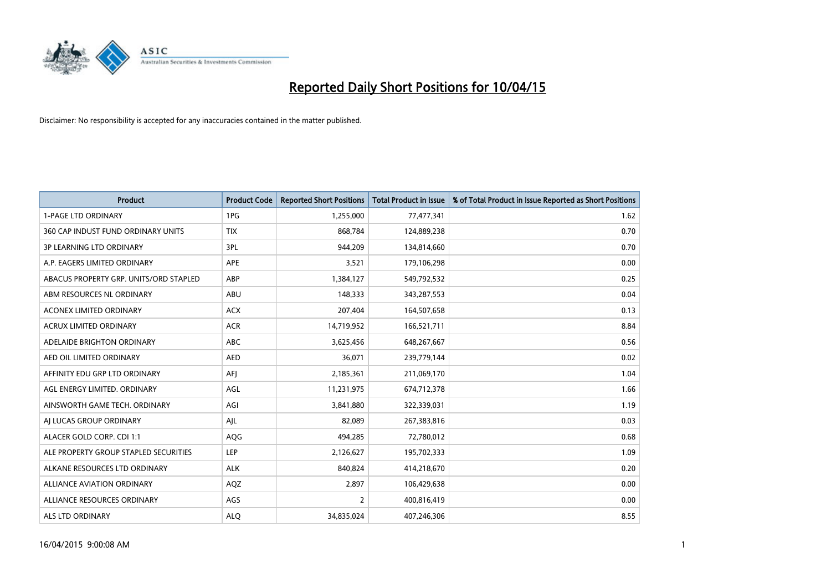

| <b>Product</b>                         | <b>Product Code</b> | <b>Reported Short Positions</b> | <b>Total Product in Issue</b> | % of Total Product in Issue Reported as Short Positions |
|----------------------------------------|---------------------|---------------------------------|-------------------------------|---------------------------------------------------------|
| <b>1-PAGE LTD ORDINARY</b>             | 1PG                 | 1,255,000                       | 77,477,341                    | 1.62                                                    |
| 360 CAP INDUST FUND ORDINARY UNITS     | <b>TIX</b>          | 868,784                         | 124,889,238                   | 0.70                                                    |
| <b>3P LEARNING LTD ORDINARY</b>        | 3PL                 | 944,209                         | 134,814,660                   | 0.70                                                    |
| A.P. EAGERS LIMITED ORDINARY           | <b>APE</b>          | 3,521                           | 179,106,298                   | 0.00                                                    |
| ABACUS PROPERTY GRP. UNITS/ORD STAPLED | ABP                 | 1,384,127                       | 549,792,532                   | 0.25                                                    |
| ABM RESOURCES NL ORDINARY              | ABU                 | 148,333                         | 343,287,553                   | 0.04                                                    |
| ACONEX LIMITED ORDINARY                | <b>ACX</b>          | 207,404                         | 164,507,658                   | 0.13                                                    |
| ACRUX LIMITED ORDINARY                 | <b>ACR</b>          | 14,719,952                      | 166,521,711                   | 8.84                                                    |
| ADELAIDE BRIGHTON ORDINARY             | <b>ABC</b>          | 3,625,456                       | 648,267,667                   | 0.56                                                    |
| AED OIL LIMITED ORDINARY               | <b>AED</b>          | 36,071                          | 239,779,144                   | 0.02                                                    |
| AFFINITY EDU GRP LTD ORDINARY          | AFJ                 | 2,185,361                       | 211,069,170                   | 1.04                                                    |
| AGL ENERGY LIMITED. ORDINARY           | AGL                 | 11,231,975                      | 674,712,378                   | 1.66                                                    |
| AINSWORTH GAME TECH. ORDINARY          | AGI                 | 3,841,880                       | 322,339,031                   | 1.19                                                    |
| AI LUCAS GROUP ORDINARY                | AJL                 | 82,089                          | 267,383,816                   | 0.03                                                    |
| ALACER GOLD CORP. CDI 1:1              | AQG                 | 494,285                         | 72,780,012                    | 0.68                                                    |
| ALE PROPERTY GROUP STAPLED SECURITIES  | LEP                 | 2,126,627                       | 195,702,333                   | 1.09                                                    |
| ALKANE RESOURCES LTD ORDINARY          | <b>ALK</b>          | 840,824                         | 414,218,670                   | 0.20                                                    |
| ALLIANCE AVIATION ORDINARY             | AQZ                 | 2,897                           | 106,429,638                   | 0.00                                                    |
| ALLIANCE RESOURCES ORDINARY            | AGS                 | $\overline{2}$                  | 400,816,419                   | 0.00                                                    |
| ALS LTD ORDINARY                       | <b>ALQ</b>          | 34,835,024                      | 407,246,306                   | 8.55                                                    |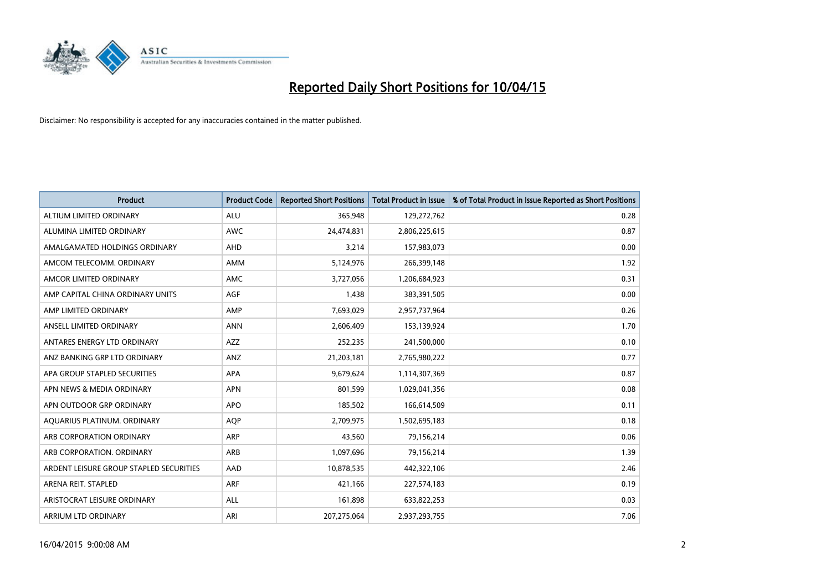

| <b>Product</b>                          | <b>Product Code</b> | <b>Reported Short Positions</b> | <b>Total Product in Issue</b> | % of Total Product in Issue Reported as Short Positions |
|-----------------------------------------|---------------------|---------------------------------|-------------------------------|---------------------------------------------------------|
| ALTIUM LIMITED ORDINARY                 | <b>ALU</b>          | 365,948                         | 129,272,762                   | 0.28                                                    |
| ALUMINA LIMITED ORDINARY                | AWC                 | 24,474,831                      | 2,806,225,615                 | 0.87                                                    |
| AMALGAMATED HOLDINGS ORDINARY           | AHD                 | 3,214                           | 157,983,073                   | 0.00                                                    |
| AMCOM TELECOMM, ORDINARY                | AMM                 | 5,124,976                       | 266,399,148                   | 1.92                                                    |
| AMCOR LIMITED ORDINARY                  | <b>AMC</b>          | 3,727,056                       | 1,206,684,923                 | 0.31                                                    |
| AMP CAPITAL CHINA ORDINARY UNITS        | AGF                 | 1,438                           | 383,391,505                   | 0.00                                                    |
| AMP LIMITED ORDINARY                    | AMP                 | 7,693,029                       | 2,957,737,964                 | 0.26                                                    |
| ANSELL LIMITED ORDINARY                 | <b>ANN</b>          | 2,606,409                       | 153,139,924                   | 1.70                                                    |
| ANTARES ENERGY LTD ORDINARY             | <b>AZZ</b>          | 252,235                         | 241,500,000                   | 0.10                                                    |
| ANZ BANKING GRP LTD ORDINARY            | ANZ                 | 21,203,181                      | 2,765,980,222                 | 0.77                                                    |
| APA GROUP STAPLED SECURITIES            | APA                 | 9,679,624                       | 1,114,307,369                 | 0.87                                                    |
| APN NEWS & MEDIA ORDINARY               | <b>APN</b>          | 801,599                         | 1,029,041,356                 | 0.08                                                    |
| APN OUTDOOR GRP ORDINARY                | <b>APO</b>          | 185,502                         | 166,614,509                   | 0.11                                                    |
| AQUARIUS PLATINUM. ORDINARY             | <b>AOP</b>          | 2,709,975                       | 1,502,695,183                 | 0.18                                                    |
| ARB CORPORATION ORDINARY                | ARP                 | 43,560                          | 79,156,214                    | 0.06                                                    |
| ARB CORPORATION. ORDINARY               | ARB                 | 1,097,696                       | 79,156,214                    | 1.39                                                    |
| ARDENT LEISURE GROUP STAPLED SECURITIES | AAD                 | 10,878,535                      | 442,322,106                   | 2.46                                                    |
| ARENA REIT. STAPLED                     | <b>ARF</b>          | 421,166                         | 227,574,183                   | 0.19                                                    |
| ARISTOCRAT LEISURE ORDINARY             | <b>ALL</b>          | 161,898                         | 633,822,253                   | 0.03                                                    |
| ARRIUM LTD ORDINARY                     | ARI                 | 207,275,064                     | 2,937,293,755                 | 7.06                                                    |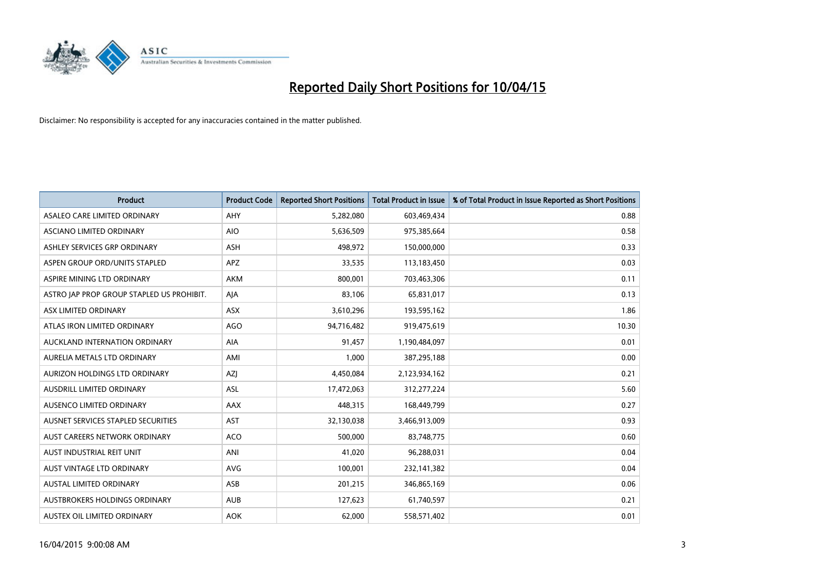

| <b>Product</b>                            | <b>Product Code</b> | <b>Reported Short Positions</b> | <b>Total Product in Issue</b> | % of Total Product in Issue Reported as Short Positions |
|-------------------------------------------|---------------------|---------------------------------|-------------------------------|---------------------------------------------------------|
| ASALEO CARE LIMITED ORDINARY              | AHY                 | 5,282,080                       | 603,469,434                   | 0.88                                                    |
| ASCIANO LIMITED ORDINARY                  | <b>AIO</b>          | 5,636,509                       | 975,385,664                   | 0.58                                                    |
| ASHLEY SERVICES GRP ORDINARY              | ASH                 | 498,972                         | 150,000,000                   | 0.33                                                    |
| ASPEN GROUP ORD/UNITS STAPLED             | <b>APZ</b>          | 33,535                          | 113,183,450                   | 0.03                                                    |
| ASPIRE MINING LTD ORDINARY                | <b>AKM</b>          | 800,001                         | 703,463,306                   | 0.11                                                    |
| ASTRO JAP PROP GROUP STAPLED US PROHIBIT. | AJA                 | 83,106                          | 65,831,017                    | 0.13                                                    |
| ASX LIMITED ORDINARY                      | ASX                 | 3,610,296                       | 193,595,162                   | 1.86                                                    |
| ATLAS IRON LIMITED ORDINARY               | <b>AGO</b>          | 94,716,482                      | 919,475,619                   | 10.30                                                   |
| AUCKLAND INTERNATION ORDINARY             | AIA                 | 91,457                          | 1,190,484,097                 | 0.01                                                    |
| AURELIA METALS LTD ORDINARY               | AMI                 | 1,000                           | 387,295,188                   | 0.00                                                    |
| AURIZON HOLDINGS LTD ORDINARY             | AZJ                 | 4,450,084                       | 2,123,934,162                 | 0.21                                                    |
| AUSDRILL LIMITED ORDINARY                 | ASL                 | 17,472,063                      | 312,277,224                   | 5.60                                                    |
| AUSENCO LIMITED ORDINARY                  | AAX                 | 448,315                         | 168,449,799                   | 0.27                                                    |
| AUSNET SERVICES STAPLED SECURITIES        | <b>AST</b>          | 32,130,038                      | 3,466,913,009                 | 0.93                                                    |
| AUST CAREERS NETWORK ORDINARY             | <b>ACO</b>          | 500,000                         | 83,748,775                    | 0.60                                                    |
| AUST INDUSTRIAL REIT UNIT                 | ANI                 | 41,020                          | 96,288,031                    | 0.04                                                    |
| AUST VINTAGE LTD ORDINARY                 | <b>AVG</b>          | 100,001                         | 232,141,382                   | 0.04                                                    |
| <b>AUSTAL LIMITED ORDINARY</b>            | ASB                 | 201,215                         | 346,865,169                   | 0.06                                                    |
| AUSTBROKERS HOLDINGS ORDINARY             | <b>AUB</b>          | 127,623                         | 61,740,597                    | 0.21                                                    |
| AUSTEX OIL LIMITED ORDINARY               | <b>AOK</b>          | 62,000                          | 558,571,402                   | 0.01                                                    |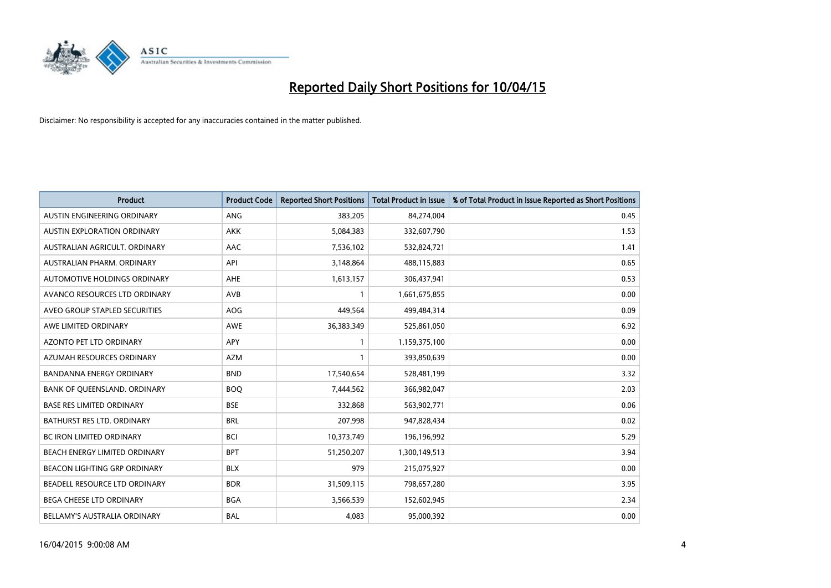

| <b>Product</b>                    | <b>Product Code</b> | <b>Reported Short Positions</b> | <b>Total Product in Issue</b> | % of Total Product in Issue Reported as Short Positions |
|-----------------------------------|---------------------|---------------------------------|-------------------------------|---------------------------------------------------------|
| AUSTIN ENGINEERING ORDINARY       | ANG                 | 383,205                         | 84,274,004                    | 0.45                                                    |
| AUSTIN EXPLORATION ORDINARY       | <b>AKK</b>          | 5,084,383                       | 332,607,790                   | 1.53                                                    |
| AUSTRALIAN AGRICULT, ORDINARY     | AAC                 | 7,536,102                       | 532,824,721                   | 1.41                                                    |
| AUSTRALIAN PHARM. ORDINARY        | API                 | 3,148,864                       | 488,115,883                   | 0.65                                                    |
| AUTOMOTIVE HOLDINGS ORDINARY      | AHE                 | 1,613,157                       | 306,437,941                   | 0.53                                                    |
| AVANCO RESOURCES LTD ORDINARY     | <b>AVB</b>          | 1                               | 1,661,675,855                 | 0.00                                                    |
| AVEO GROUP STAPLED SECURITIES     | AOG                 | 449,564                         | 499,484,314                   | 0.09                                                    |
| AWE LIMITED ORDINARY              | AWE                 | 36,383,349                      | 525,861,050                   | 6.92                                                    |
| <b>AZONTO PET LTD ORDINARY</b>    | APY                 | $\mathbf{1}$                    | 1,159,375,100                 | 0.00                                                    |
| AZUMAH RESOURCES ORDINARY         | <b>AZM</b>          | 1                               | 393,850,639                   | 0.00                                                    |
| BANDANNA ENERGY ORDINARY          | <b>BND</b>          | 17,540,654                      | 528,481,199                   | 3.32                                                    |
| BANK OF QUEENSLAND. ORDINARY      | <b>BOQ</b>          | 7,444,562                       | 366,982,047                   | 2.03                                                    |
| <b>BASE RES LIMITED ORDINARY</b>  | <b>BSE</b>          | 332,868                         | 563,902,771                   | 0.06                                                    |
| <b>BATHURST RES LTD. ORDINARY</b> | <b>BRL</b>          | 207,998                         | 947,828,434                   | 0.02                                                    |
| <b>BC IRON LIMITED ORDINARY</b>   | <b>BCI</b>          | 10,373,749                      | 196,196,992                   | 5.29                                                    |
| BEACH ENERGY LIMITED ORDINARY     | <b>BPT</b>          | 51,250,207                      | 1,300,149,513                 | 3.94                                                    |
| BEACON LIGHTING GRP ORDINARY      | <b>BLX</b>          | 979                             | 215,075,927                   | 0.00                                                    |
| BEADELL RESOURCE LTD ORDINARY     | <b>BDR</b>          | 31,509,115                      | 798,657,280                   | 3.95                                                    |
| <b>BEGA CHEESE LTD ORDINARY</b>   | <b>BGA</b>          | 3,566,539                       | 152,602,945                   | 2.34                                                    |
| BELLAMY'S AUSTRALIA ORDINARY      | <b>BAL</b>          | 4,083                           | 95,000,392                    | 0.00                                                    |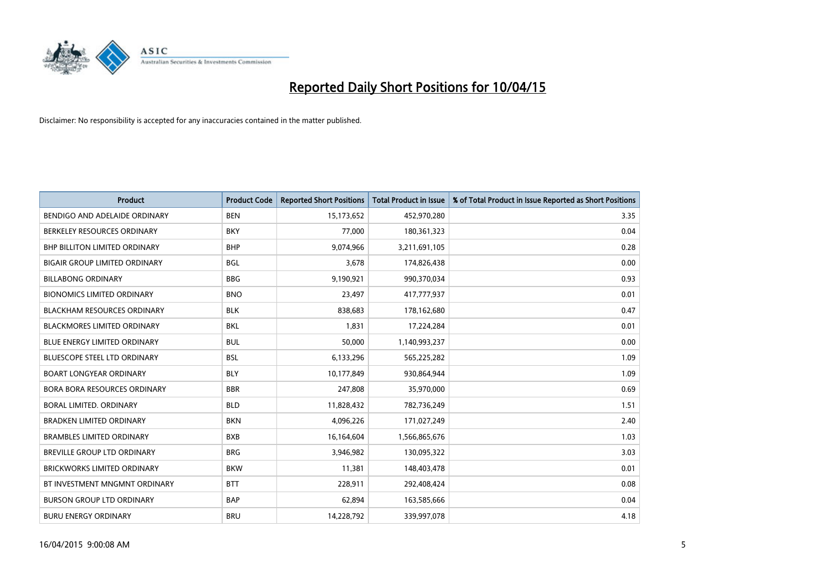

| <b>Product</b>                       | <b>Product Code</b> | <b>Reported Short Positions</b> | <b>Total Product in Issue</b> | % of Total Product in Issue Reported as Short Positions |
|--------------------------------------|---------------------|---------------------------------|-------------------------------|---------------------------------------------------------|
| BENDIGO AND ADELAIDE ORDINARY        | <b>BEN</b>          | 15,173,652                      | 452,970,280                   | 3.35                                                    |
| BERKELEY RESOURCES ORDINARY          | <b>BKY</b>          | 77,000                          | 180,361,323                   | 0.04                                                    |
| BHP BILLITON LIMITED ORDINARY        | <b>BHP</b>          | 9,074,966                       | 3,211,691,105                 | 0.28                                                    |
| <b>BIGAIR GROUP LIMITED ORDINARY</b> | <b>BGL</b>          | 3,678                           | 174,826,438                   | 0.00                                                    |
| <b>BILLABONG ORDINARY</b>            | <b>BBG</b>          | 9,190,921                       | 990,370,034                   | 0.93                                                    |
| <b>BIONOMICS LIMITED ORDINARY</b>    | <b>BNO</b>          | 23,497                          | 417,777,937                   | 0.01                                                    |
| <b>BLACKHAM RESOURCES ORDINARY</b>   | <b>BLK</b>          | 838,683                         | 178,162,680                   | 0.47                                                    |
| BLACKMORES LIMITED ORDINARY          | <b>BKL</b>          | 1,831                           | 17,224,284                    | 0.01                                                    |
| <b>BLUE ENERGY LIMITED ORDINARY</b>  | <b>BUL</b>          | 50,000                          | 1,140,993,237                 | 0.00                                                    |
| <b>BLUESCOPE STEEL LTD ORDINARY</b>  | <b>BSL</b>          | 6,133,296                       | 565,225,282                   | 1.09                                                    |
| <b>BOART LONGYEAR ORDINARY</b>       | <b>BLY</b>          | 10,177,849                      | 930,864,944                   | 1.09                                                    |
| <b>BORA BORA RESOURCES ORDINARY</b>  | <b>BBR</b>          | 247,808                         | 35,970,000                    | 0.69                                                    |
| BORAL LIMITED, ORDINARY              | <b>BLD</b>          | 11,828,432                      | 782,736,249                   | 1.51                                                    |
| <b>BRADKEN LIMITED ORDINARY</b>      | <b>BKN</b>          | 4,096,226                       | 171,027,249                   | 2.40                                                    |
| <b>BRAMBLES LIMITED ORDINARY</b>     | <b>BXB</b>          | 16,164,604                      | 1,566,865,676                 | 1.03                                                    |
| BREVILLE GROUP LTD ORDINARY          | <b>BRG</b>          | 3,946,982                       | 130,095,322                   | 3.03                                                    |
| BRICKWORKS LIMITED ORDINARY          | <b>BKW</b>          | 11,381                          | 148,403,478                   | 0.01                                                    |
| BT INVESTMENT MNGMNT ORDINARY        | <b>BTT</b>          | 228,911                         | 292,408,424                   | 0.08                                                    |
| <b>BURSON GROUP LTD ORDINARY</b>     | <b>BAP</b>          | 62,894                          | 163,585,666                   | 0.04                                                    |
| <b>BURU ENERGY ORDINARY</b>          | <b>BRU</b>          | 14,228,792                      | 339,997,078                   | 4.18                                                    |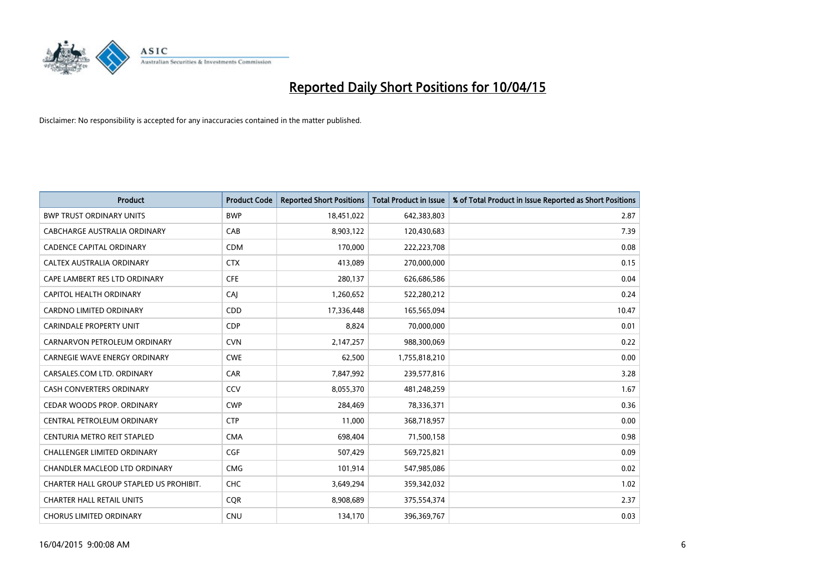

| <b>Product</b>                          | <b>Product Code</b> | <b>Reported Short Positions</b> | <b>Total Product in Issue</b> | % of Total Product in Issue Reported as Short Positions |
|-----------------------------------------|---------------------|---------------------------------|-------------------------------|---------------------------------------------------------|
| <b>BWP TRUST ORDINARY UNITS</b>         | <b>BWP</b>          | 18,451,022                      | 642,383,803                   | 2.87                                                    |
| CABCHARGE AUSTRALIA ORDINARY            | CAB                 | 8,903,122                       | 120,430,683                   | 7.39                                                    |
| <b>CADENCE CAPITAL ORDINARY</b>         | <b>CDM</b>          | 170,000                         | 222,223,708                   | 0.08                                                    |
| CALTEX AUSTRALIA ORDINARY               | <b>CTX</b>          | 413,089                         | 270,000,000                   | 0.15                                                    |
| CAPE LAMBERT RES LTD ORDINARY           | <b>CFE</b>          | 280,137                         | 626,686,586                   | 0.04                                                    |
| CAPITOL HEALTH ORDINARY                 | CAJ                 | 1,260,652                       | 522,280,212                   | 0.24                                                    |
| <b>CARDNO LIMITED ORDINARY</b>          | <b>CDD</b>          | 17,336,448                      | 165,565,094                   | 10.47                                                   |
| CARINDALE PROPERTY UNIT                 | <b>CDP</b>          | 8,824                           | 70,000,000                    | 0.01                                                    |
| CARNARVON PETROLEUM ORDINARY            | <b>CVN</b>          | 2,147,257                       | 988,300,069                   | 0.22                                                    |
| <b>CARNEGIE WAVE ENERGY ORDINARY</b>    | <b>CWE</b>          | 62,500                          | 1,755,818,210                 | 0.00                                                    |
| CARSALES.COM LTD. ORDINARY              | CAR                 | 7,847,992                       | 239,577,816                   | 3.28                                                    |
| <b>CASH CONVERTERS ORDINARY</b>         | CCV                 | 8,055,370                       | 481,248,259                   | 1.67                                                    |
| CEDAR WOODS PROP. ORDINARY              | <b>CWP</b>          | 284,469                         | 78,336,371                    | 0.36                                                    |
| CENTRAL PETROLEUM ORDINARY              | <b>CTP</b>          | 11,000                          | 368,718,957                   | 0.00                                                    |
| CENTURIA METRO REIT STAPLED             | <b>CMA</b>          | 698,404                         | 71,500,158                    | 0.98                                                    |
| CHALLENGER LIMITED ORDINARY             | <b>CGF</b>          | 507,429                         | 569,725,821                   | 0.09                                                    |
| CHANDLER MACLEOD LTD ORDINARY           | <b>CMG</b>          | 101,914                         | 547,985,086                   | 0.02                                                    |
| CHARTER HALL GROUP STAPLED US PROHIBIT. | <b>CHC</b>          | 3,649,294                       | 359,342,032                   | 1.02                                                    |
| <b>CHARTER HALL RETAIL UNITS</b>        | <b>COR</b>          | 8,908,689                       | 375,554,374                   | 2.37                                                    |
| <b>CHORUS LIMITED ORDINARY</b>          | <b>CNU</b>          | 134,170                         | 396,369,767                   | 0.03                                                    |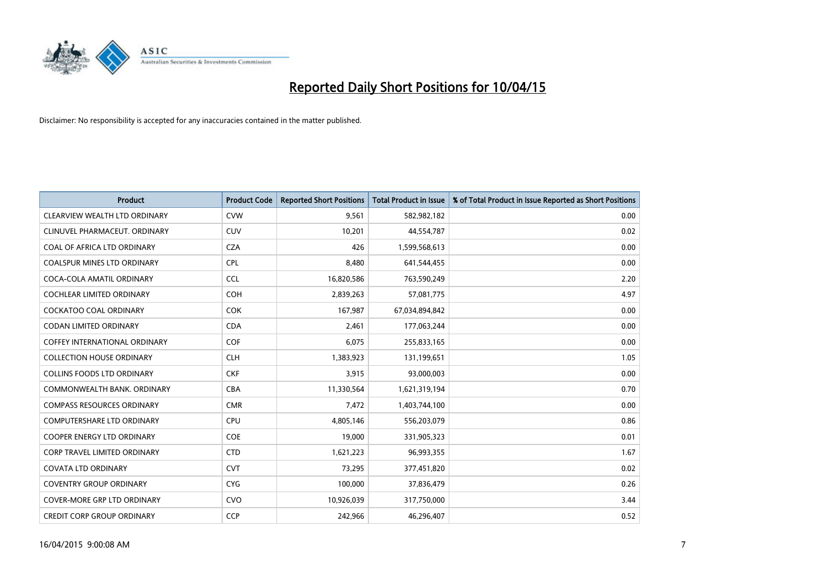

| <b>Product</b>                       | <b>Product Code</b> | <b>Reported Short Positions</b> | <b>Total Product in Issue</b> | % of Total Product in Issue Reported as Short Positions |
|--------------------------------------|---------------------|---------------------------------|-------------------------------|---------------------------------------------------------|
| CLEARVIEW WEALTH LTD ORDINARY        | <b>CVW</b>          | 9,561                           | 582,982,182                   | 0.00                                                    |
| CLINUVEL PHARMACEUT, ORDINARY        | CUV                 | 10,201                          | 44,554,787                    | 0.02                                                    |
| COAL OF AFRICA LTD ORDINARY          | <b>CZA</b>          | 426                             | 1,599,568,613                 | 0.00                                                    |
| <b>COALSPUR MINES LTD ORDINARY</b>   | <b>CPL</b>          | 8,480                           | 641,544,455                   | 0.00                                                    |
| COCA-COLA AMATIL ORDINARY            | <b>CCL</b>          | 16,820,586                      | 763,590,249                   | 2.20                                                    |
| <b>COCHLEAR LIMITED ORDINARY</b>     | COH                 | 2,839,263                       | 57,081,775                    | 4.97                                                    |
| <b>COCKATOO COAL ORDINARY</b>        | <b>COK</b>          | 167,987                         | 67,034,894,842                | 0.00                                                    |
| <b>CODAN LIMITED ORDINARY</b>        | <b>CDA</b>          | 2,461                           | 177,063,244                   | 0.00                                                    |
| <b>COFFEY INTERNATIONAL ORDINARY</b> | <b>COF</b>          | 6,075                           | 255,833,165                   | 0.00                                                    |
| <b>COLLECTION HOUSE ORDINARY</b>     | <b>CLH</b>          | 1,383,923                       | 131,199,651                   | 1.05                                                    |
| <b>COLLINS FOODS LTD ORDINARY</b>    | <b>CKF</b>          | 3,915                           | 93,000,003                    | 0.00                                                    |
| COMMONWEALTH BANK, ORDINARY          | <b>CBA</b>          | 11,330,564                      | 1,621,319,194                 | 0.70                                                    |
| <b>COMPASS RESOURCES ORDINARY</b>    | <b>CMR</b>          | 7,472                           | 1,403,744,100                 | 0.00                                                    |
| <b>COMPUTERSHARE LTD ORDINARY</b>    | <b>CPU</b>          | 4,805,146                       | 556,203,079                   | 0.86                                                    |
| <b>COOPER ENERGY LTD ORDINARY</b>    | <b>COE</b>          | 19,000                          | 331,905,323                   | 0.01                                                    |
| <b>CORP TRAVEL LIMITED ORDINARY</b>  | <b>CTD</b>          | 1,621,223                       | 96,993,355                    | 1.67                                                    |
| <b>COVATA LTD ORDINARY</b>           | <b>CVT</b>          | 73,295                          | 377,451,820                   | 0.02                                                    |
| <b>COVENTRY GROUP ORDINARY</b>       | <b>CYG</b>          | 100,000                         | 37,836,479                    | 0.26                                                    |
| <b>COVER-MORE GRP LTD ORDINARY</b>   | <b>CVO</b>          | 10,926,039                      | 317,750,000                   | 3.44                                                    |
| <b>CREDIT CORP GROUP ORDINARY</b>    | <b>CCP</b>          | 242,966                         | 46,296,407                    | 0.52                                                    |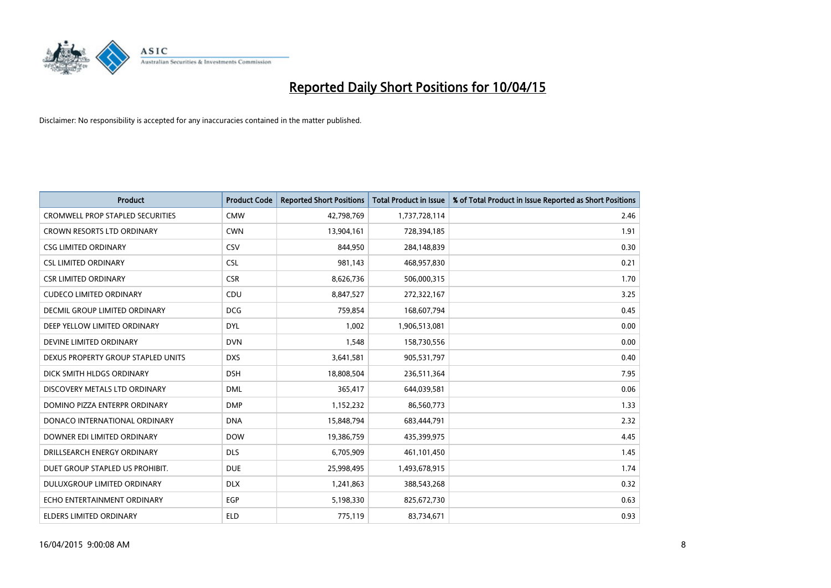

| <b>Product</b>                          | <b>Product Code</b> | <b>Reported Short Positions</b> | <b>Total Product in Issue</b> | % of Total Product in Issue Reported as Short Positions |
|-----------------------------------------|---------------------|---------------------------------|-------------------------------|---------------------------------------------------------|
| <b>CROMWELL PROP STAPLED SECURITIES</b> | <b>CMW</b>          | 42,798,769                      | 1,737,728,114                 | 2.46                                                    |
| CROWN RESORTS LTD ORDINARY              | <b>CWN</b>          | 13,904,161                      | 728,394,185                   | 1.91                                                    |
| <b>CSG LIMITED ORDINARY</b>             | CSV                 | 844,950                         | 284,148,839                   | 0.30                                                    |
| <b>CSL LIMITED ORDINARY</b>             | <b>CSL</b>          | 981,143                         | 468,957,830                   | 0.21                                                    |
| <b>CSR LIMITED ORDINARY</b>             | <b>CSR</b>          | 8,626,736                       | 506,000,315                   | 1.70                                                    |
| <b>CUDECO LIMITED ORDINARY</b>          | CDU                 | 8,847,527                       | 272,322,167                   | 3.25                                                    |
| <b>DECMIL GROUP LIMITED ORDINARY</b>    | <b>DCG</b>          | 759,854                         | 168,607,794                   | 0.45                                                    |
| DEEP YELLOW LIMITED ORDINARY            | <b>DYL</b>          | 1,002                           | 1,906,513,081                 | 0.00                                                    |
| DEVINE LIMITED ORDINARY                 | <b>DVN</b>          | 1,548                           | 158,730,556                   | 0.00                                                    |
| DEXUS PROPERTY GROUP STAPLED UNITS      | <b>DXS</b>          | 3,641,581                       | 905,531,797                   | 0.40                                                    |
| DICK SMITH HLDGS ORDINARY               | <b>DSH</b>          | 18,808,504                      | 236,511,364                   | 7.95                                                    |
| DISCOVERY METALS LTD ORDINARY           | <b>DML</b>          | 365,417                         | 644,039,581                   | 0.06                                                    |
| DOMINO PIZZA ENTERPR ORDINARY           | <b>DMP</b>          | 1,152,232                       | 86,560,773                    | 1.33                                                    |
| DONACO INTERNATIONAL ORDINARY           | <b>DNA</b>          | 15,848,794                      | 683,444,791                   | 2.32                                                    |
| DOWNER EDI LIMITED ORDINARY             | <b>DOW</b>          | 19,386,759                      | 435,399,975                   | 4.45                                                    |
| DRILLSEARCH ENERGY ORDINARY             | <b>DLS</b>          | 6,705,909                       | 461,101,450                   | 1.45                                                    |
| DUET GROUP STAPLED US PROHIBIT.         | <b>DUE</b>          | 25,998,495                      | 1,493,678,915                 | 1.74                                                    |
| DULUXGROUP LIMITED ORDINARY             | <b>DLX</b>          | 1,241,863                       | 388,543,268                   | 0.32                                                    |
| ECHO ENTERTAINMENT ORDINARY             | <b>EGP</b>          | 5,198,330                       | 825,672,730                   | 0.63                                                    |
| ELDERS LIMITED ORDINARY                 | <b>ELD</b>          | 775,119                         | 83,734,671                    | 0.93                                                    |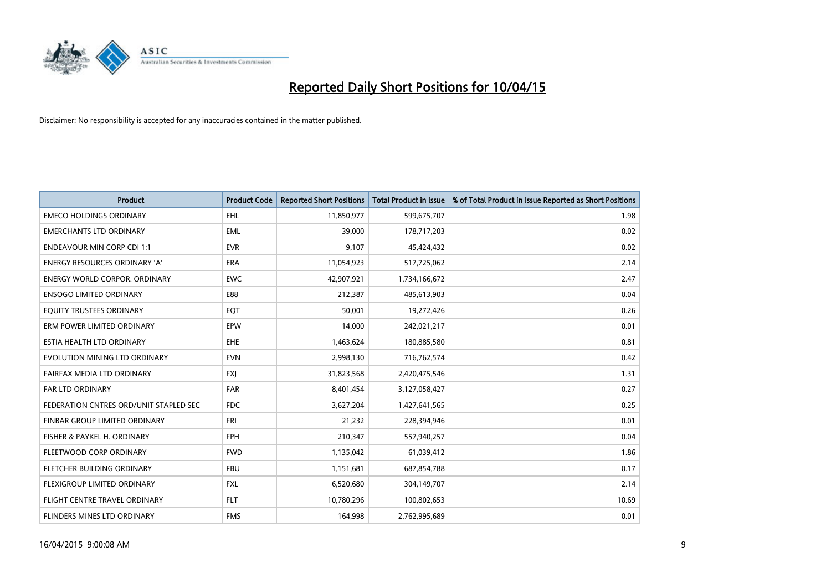

| <b>Product</b>                         | <b>Product Code</b> | <b>Reported Short Positions</b> | <b>Total Product in Issue</b> | % of Total Product in Issue Reported as Short Positions |
|----------------------------------------|---------------------|---------------------------------|-------------------------------|---------------------------------------------------------|
| <b>EMECO HOLDINGS ORDINARY</b>         | <b>EHL</b>          | 11,850,977                      | 599,675,707                   | 1.98                                                    |
| <b>EMERCHANTS LTD ORDINARY</b>         | <b>EML</b>          | 39,000                          | 178,717,203                   | 0.02                                                    |
| <b>ENDEAVOUR MIN CORP CDI 1:1</b>      | <b>EVR</b>          | 9,107                           | 45,424,432                    | 0.02                                                    |
| ENERGY RESOURCES ORDINARY 'A'          | ERA                 | 11,054,923                      | 517,725,062                   | 2.14                                                    |
| <b>ENERGY WORLD CORPOR, ORDINARY</b>   | <b>EWC</b>          | 42,907,921                      | 1,734,166,672                 | 2.47                                                    |
| <b>ENSOGO LIMITED ORDINARY</b>         | E88                 | 212,387                         | 485,613,903                   | 0.04                                                    |
| EQUITY TRUSTEES ORDINARY               | EQT                 | 50.001                          | 19,272,426                    | 0.26                                                    |
| ERM POWER LIMITED ORDINARY             | EPW                 | 14,000                          | 242,021,217                   | 0.01                                                    |
| ESTIA HEALTH LTD ORDINARY              | <b>EHE</b>          | 1,463,624                       | 180,885,580                   | 0.81                                                    |
| EVOLUTION MINING LTD ORDINARY          | <b>EVN</b>          | 2,998,130                       | 716,762,574                   | 0.42                                                    |
| FAIRFAX MEDIA LTD ORDINARY             | <b>FXJ</b>          | 31,823,568                      | 2,420,475,546                 | 1.31                                                    |
| <b>FAR LTD ORDINARY</b>                | <b>FAR</b>          | 8,401,454                       | 3,127,058,427                 | 0.27                                                    |
| FEDERATION CNTRES ORD/UNIT STAPLED SEC | FDC                 | 3,627,204                       | 1,427,641,565                 | 0.25                                                    |
| FINBAR GROUP LIMITED ORDINARY          | <b>FRI</b>          | 21,232                          | 228,394,946                   | 0.01                                                    |
| FISHER & PAYKEL H. ORDINARY            | <b>FPH</b>          | 210,347                         | 557,940,257                   | 0.04                                                    |
| FLEETWOOD CORP ORDINARY                | <b>FWD</b>          | 1,135,042                       | 61,039,412                    | 1.86                                                    |
| FLETCHER BUILDING ORDINARY             | <b>FBU</b>          | 1,151,681                       | 687,854,788                   | 0.17                                                    |
| FLEXIGROUP LIMITED ORDINARY            | <b>FXL</b>          | 6,520,680                       | 304,149,707                   | 2.14                                                    |
| FLIGHT CENTRE TRAVEL ORDINARY          | <b>FLT</b>          | 10,780,296                      | 100,802,653                   | 10.69                                                   |
| <b>FLINDERS MINES LTD ORDINARY</b>     | <b>FMS</b>          | 164,998                         | 2,762,995,689                 | 0.01                                                    |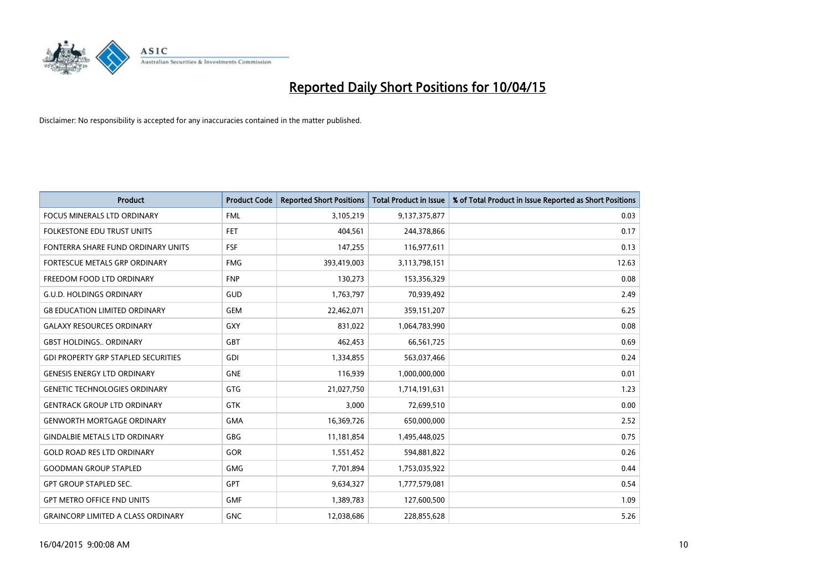

| <b>Product</b>                             | <b>Product Code</b> | <b>Reported Short Positions</b> | <b>Total Product in Issue</b> | % of Total Product in Issue Reported as Short Positions |
|--------------------------------------------|---------------------|---------------------------------|-------------------------------|---------------------------------------------------------|
| <b>FOCUS MINERALS LTD ORDINARY</b>         | <b>FML</b>          | 3,105,219                       | 9,137,375,877                 | 0.03                                                    |
| FOLKESTONE EDU TRUST UNITS                 | FET                 | 404,561                         | 244,378,866                   | 0.17                                                    |
| FONTERRA SHARE FUND ORDINARY UNITS         | <b>FSF</b>          | 147,255                         | 116,977,611                   | 0.13                                                    |
| FORTESCUE METALS GRP ORDINARY              | <b>FMG</b>          | 393,419,003                     | 3,113,798,151                 | 12.63                                                   |
| FREEDOM FOOD LTD ORDINARY                  | <b>FNP</b>          | 130,273                         | 153,356,329                   | 0.08                                                    |
| <b>G.U.D. HOLDINGS ORDINARY</b>            | GUD                 | 1,763,797                       | 70,939,492                    | 2.49                                                    |
| <b>G8 EDUCATION LIMITED ORDINARY</b>       | <b>GEM</b>          | 22,462,071                      | 359,151,207                   | 6.25                                                    |
| <b>GALAXY RESOURCES ORDINARY</b>           | GXY                 | 831,022                         | 1,064,783,990                 | 0.08                                                    |
| <b>GBST HOLDINGS ORDINARY</b>              | <b>GBT</b>          | 462,453                         | 66,561,725                    | 0.69                                                    |
| <b>GDI PROPERTY GRP STAPLED SECURITIES</b> | GDI                 | 1,334,855                       | 563,037,466                   | 0.24                                                    |
| <b>GENESIS ENERGY LTD ORDINARY</b>         | <b>GNE</b>          | 116,939                         | 1,000,000,000                 | 0.01                                                    |
| <b>GENETIC TECHNOLOGIES ORDINARY</b>       | <b>GTG</b>          | 21,027,750                      | 1,714,191,631                 | 1.23                                                    |
| <b>GENTRACK GROUP LTD ORDINARY</b>         | <b>GTK</b>          | 3,000                           | 72,699,510                    | 0.00                                                    |
| <b>GENWORTH MORTGAGE ORDINARY</b>          | <b>GMA</b>          | 16,369,726                      | 650,000,000                   | 2.52                                                    |
| <b>GINDALBIE METALS LTD ORDINARY</b>       | <b>GBG</b>          | 11,181,854                      | 1,495,448,025                 | 0.75                                                    |
| <b>GOLD ROAD RES LTD ORDINARY</b>          | GOR                 | 1,551,452                       | 594,881,822                   | 0.26                                                    |
| <b>GOODMAN GROUP STAPLED</b>               | <b>GMG</b>          | 7,701,894                       | 1,753,035,922                 | 0.44                                                    |
| <b>GPT GROUP STAPLED SEC.</b>              | <b>GPT</b>          | 9,634,327                       | 1,777,579,081                 | 0.54                                                    |
| <b>GPT METRO OFFICE FND UNITS</b>          | <b>GMF</b>          | 1,389,783                       | 127,600,500                   | 1.09                                                    |
| <b>GRAINCORP LIMITED A CLASS ORDINARY</b>  | <b>GNC</b>          | 12,038,686                      | 228,855,628                   | 5.26                                                    |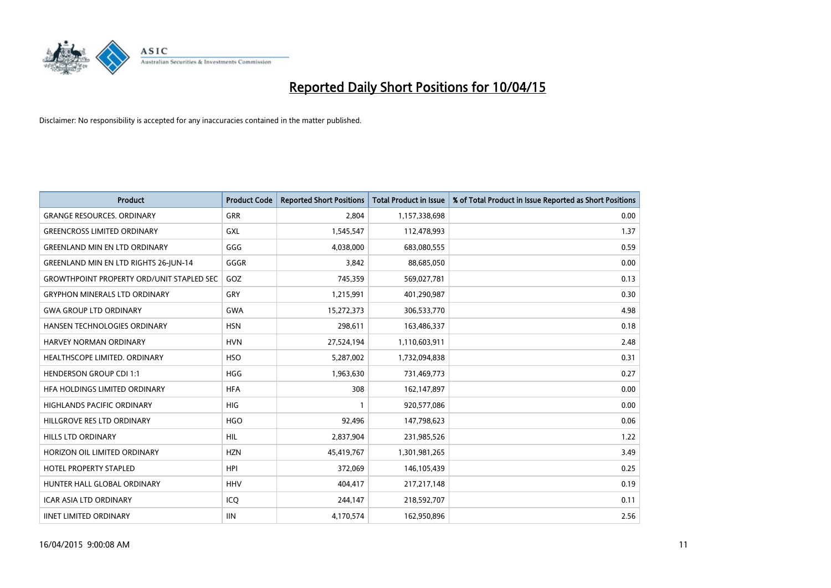

| <b>Product</b>                                   | <b>Product Code</b> | <b>Reported Short Positions</b> | <b>Total Product in Issue</b> | % of Total Product in Issue Reported as Short Positions |
|--------------------------------------------------|---------------------|---------------------------------|-------------------------------|---------------------------------------------------------|
| <b>GRANGE RESOURCES, ORDINARY</b>                | GRR                 | 2,804                           | 1,157,338,698                 | 0.00                                                    |
| <b>GREENCROSS LIMITED ORDINARY</b>               | <b>GXL</b>          | 1,545,547                       | 112,478,993                   | 1.37                                                    |
| <b>GREENLAND MIN EN LTD ORDINARY</b>             | GGG                 | 4,038,000                       | 683,080,555                   | 0.59                                                    |
| <b>GREENLAND MIN EN LTD RIGHTS 26-JUN-14</b>     | GGGR                | 3,842                           | 88,685,050                    | 0.00                                                    |
| <b>GROWTHPOINT PROPERTY ORD/UNIT STAPLED SEC</b> | GOZ                 | 745,359                         | 569,027,781                   | 0.13                                                    |
| <b>GRYPHON MINERALS LTD ORDINARY</b>             | GRY                 | 1,215,991                       | 401,290,987                   | 0.30                                                    |
| <b>GWA GROUP LTD ORDINARY</b>                    | <b>GWA</b>          | 15,272,373                      | 306,533,770                   | 4.98                                                    |
| HANSEN TECHNOLOGIES ORDINARY                     | <b>HSN</b>          | 298,611                         | 163,486,337                   | 0.18                                                    |
| <b>HARVEY NORMAN ORDINARY</b>                    | <b>HVN</b>          | 27,524,194                      | 1,110,603,911                 | 2.48                                                    |
| HEALTHSCOPE LIMITED. ORDINARY                    | <b>HSO</b>          | 5,287,002                       | 1,732,094,838                 | 0.31                                                    |
| <b>HENDERSON GROUP CDI 1:1</b>                   | <b>HGG</b>          | 1,963,630                       | 731,469,773                   | 0.27                                                    |
| HFA HOLDINGS LIMITED ORDINARY                    | <b>HFA</b>          | 308                             | 162,147,897                   | 0.00                                                    |
| <b>HIGHLANDS PACIFIC ORDINARY</b>                | <b>HIG</b>          | $\mathbf{1}$                    | 920,577,086                   | 0.00                                                    |
| HILLGROVE RES LTD ORDINARY                       | <b>HGO</b>          | 92,496                          | 147,798,623                   | 0.06                                                    |
| <b>HILLS LTD ORDINARY</b>                        | <b>HIL</b>          | 2,837,904                       | 231,985,526                   | 1.22                                                    |
| HORIZON OIL LIMITED ORDINARY                     | <b>HZN</b>          | 45,419,767                      | 1,301,981,265                 | 3.49                                                    |
| HOTEL PROPERTY STAPLED                           | <b>HPI</b>          | 372,069                         | 146,105,439                   | 0.25                                                    |
| HUNTER HALL GLOBAL ORDINARY                      | <b>HHV</b>          | 404,417                         | 217, 217, 148                 | 0.19                                                    |
| <b>ICAR ASIA LTD ORDINARY</b>                    | ICQ                 | 244,147                         | 218,592,707                   | 0.11                                                    |
| <b>IINET LIMITED ORDINARY</b>                    | <b>IIN</b>          | 4,170,574                       | 162,950,896                   | 2.56                                                    |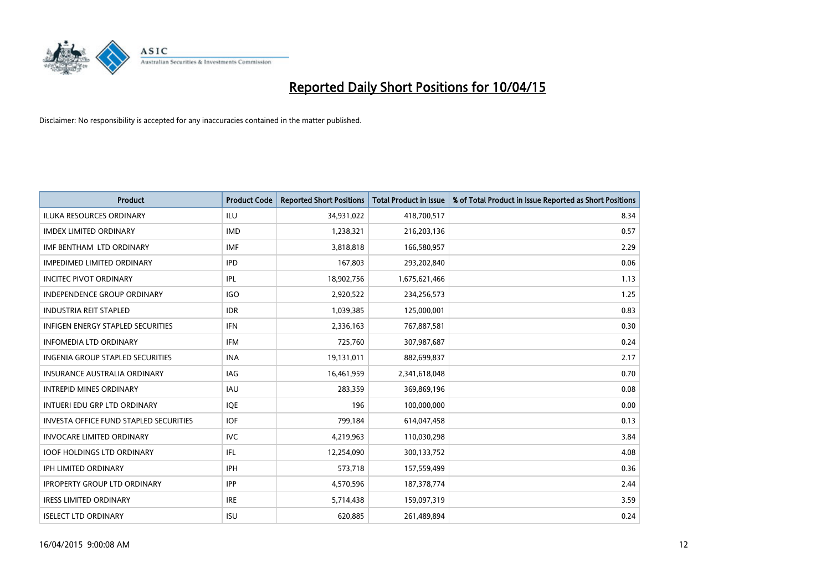

| <b>Product</b>                                | <b>Product Code</b> | <b>Reported Short Positions</b> | <b>Total Product in Issue</b> | % of Total Product in Issue Reported as Short Positions |
|-----------------------------------------------|---------------------|---------------------------------|-------------------------------|---------------------------------------------------------|
| <b>ILUKA RESOURCES ORDINARY</b>               | ILU                 | 34,931,022                      | 418,700,517                   | 8.34                                                    |
| <b>IMDEX LIMITED ORDINARY</b>                 | <b>IMD</b>          | 1,238,321                       | 216,203,136                   | 0.57                                                    |
| IMF BENTHAM LTD ORDINARY                      | <b>IMF</b>          | 3,818,818                       | 166,580,957                   | 2.29                                                    |
| <b>IMPEDIMED LIMITED ORDINARY</b>             | <b>IPD</b>          | 167,803                         | 293,202,840                   | 0.06                                                    |
| <b>INCITEC PIVOT ORDINARY</b>                 | IPL                 | 18,902,756                      | 1,675,621,466                 | 1.13                                                    |
| <b>INDEPENDENCE GROUP ORDINARY</b>            | <b>IGO</b>          | 2,920,522                       | 234,256,573                   | 1.25                                                    |
| <b>INDUSTRIA REIT STAPLED</b>                 | <b>IDR</b>          | 1,039,385                       | 125,000,001                   | 0.83                                                    |
| <b>INFIGEN ENERGY STAPLED SECURITIES</b>      | <b>IFN</b>          | 2,336,163                       | 767,887,581                   | 0.30                                                    |
| <b>INFOMEDIA LTD ORDINARY</b>                 | <b>IFM</b>          | 725,760                         | 307,987,687                   | 0.24                                                    |
| <b>INGENIA GROUP STAPLED SECURITIES</b>       | <b>INA</b>          | 19,131,011                      | 882,699,837                   | 2.17                                                    |
| <b>INSURANCE AUSTRALIA ORDINARY</b>           | <b>IAG</b>          | 16,461,959                      | 2,341,618,048                 | 0.70                                                    |
| <b>INTREPID MINES ORDINARY</b>                | IAU                 | 283,359                         | 369,869,196                   | 0.08                                                    |
| INTUERI EDU GRP LTD ORDINARY                  | <b>IQE</b>          | 196                             | 100,000,000                   | 0.00                                                    |
| <b>INVESTA OFFICE FUND STAPLED SECURITIES</b> | <b>IOF</b>          | 799,184                         | 614,047,458                   | 0.13                                                    |
| <b>INVOCARE LIMITED ORDINARY</b>              | <b>IVC</b>          | 4,219,963                       | 110,030,298                   | 3.84                                                    |
| <b>IOOF HOLDINGS LTD ORDINARY</b>             | IFL                 | 12,254,090                      | 300,133,752                   | 4.08                                                    |
| <b>IPH LIMITED ORDINARY</b>                   | <b>IPH</b>          | 573,718                         | 157,559,499                   | 0.36                                                    |
| <b>IPROPERTY GROUP LTD ORDINARY</b>           | <b>IPP</b>          | 4,570,596                       | 187, 378, 774                 | 2.44                                                    |
| <b>IRESS LIMITED ORDINARY</b>                 | <b>IRE</b>          | 5,714,438                       | 159,097,319                   | 3.59                                                    |
| <b>ISELECT LTD ORDINARY</b>                   | <b>ISU</b>          | 620,885                         | 261,489,894                   | 0.24                                                    |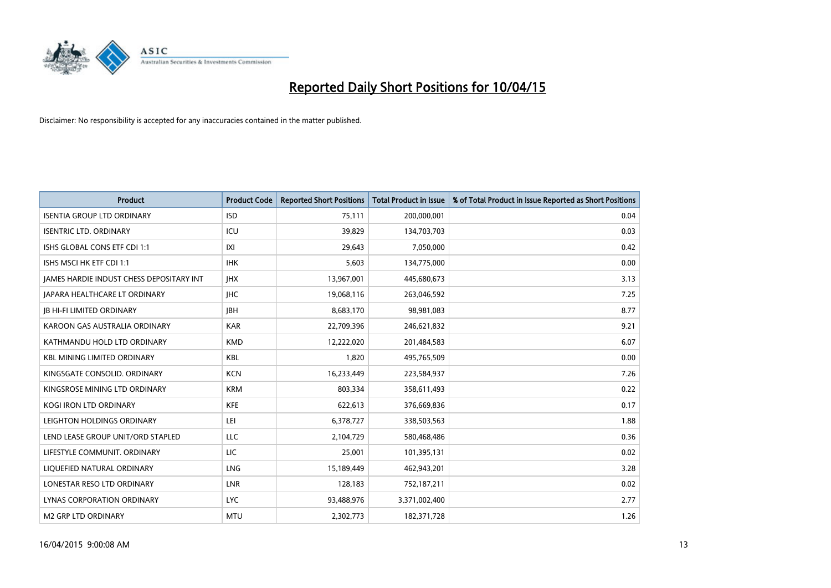

| Product                                         | <b>Product Code</b> | <b>Reported Short Positions</b> | <b>Total Product in Issue</b> | % of Total Product in Issue Reported as Short Positions |
|-------------------------------------------------|---------------------|---------------------------------|-------------------------------|---------------------------------------------------------|
| <b>ISENTIA GROUP LTD ORDINARY</b>               | <b>ISD</b>          | 75,111                          | 200,000,001                   | 0.04                                                    |
| <b>ISENTRIC LTD. ORDINARY</b>                   | ICU                 | 39,829                          | 134,703,703                   | 0.03                                                    |
| ISHS GLOBAL CONS ETF CDI 1:1                    | IXI                 | 29,643                          | 7,050,000                     | 0.42                                                    |
| ISHS MSCI HK ETF CDI 1:1                        | <b>IHK</b>          | 5,603                           | 134,775,000                   | 0.00                                                    |
| <b>JAMES HARDIE INDUST CHESS DEPOSITARY INT</b> | <b>IHX</b>          | 13,967,001                      | 445,680,673                   | 3.13                                                    |
| JAPARA HEALTHCARE LT ORDINARY                   | <b>IHC</b>          | 19,068,116                      | 263,046,592                   | 7.25                                                    |
| <b>JB HI-FI LIMITED ORDINARY</b>                | <b>JBH</b>          | 8,683,170                       | 98,981,083                    | 8.77                                                    |
| KAROON GAS AUSTRALIA ORDINARY                   | <b>KAR</b>          | 22,709,396                      | 246,621,832                   | 9.21                                                    |
| KATHMANDU HOLD LTD ORDINARY                     | <b>KMD</b>          | 12,222,020                      | 201,484,583                   | 6.07                                                    |
| <b>KBL MINING LIMITED ORDINARY</b>              | <b>KBL</b>          | 1,820                           | 495,765,509                   | 0.00                                                    |
| KINGSGATE CONSOLID. ORDINARY                    | <b>KCN</b>          | 16,233,449                      | 223,584,937                   | 7.26                                                    |
| KINGSROSE MINING LTD ORDINARY                   | <b>KRM</b>          | 803,334                         | 358,611,493                   | 0.22                                                    |
| <b>KOGI IRON LTD ORDINARY</b>                   | <b>KFE</b>          | 622,613                         | 376,669,836                   | 0.17                                                    |
| LEIGHTON HOLDINGS ORDINARY                      | LEI                 | 6,378,727                       | 338,503,563                   | 1.88                                                    |
| LEND LEASE GROUP UNIT/ORD STAPLED               | LLC                 | 2,104,729                       | 580,468,486                   | 0.36                                                    |
| LIFESTYLE COMMUNIT, ORDINARY                    | LIC                 | 25,001                          | 101,395,131                   | 0.02                                                    |
| LIQUEFIED NATURAL ORDINARY                      | <b>LNG</b>          | 15,189,449                      | 462,943,201                   | 3.28                                                    |
| LONESTAR RESO LTD ORDINARY                      | <b>LNR</b>          | 128,183                         | 752,187,211                   | 0.02                                                    |
| LYNAS CORPORATION ORDINARY                      | <b>LYC</b>          | 93,488,976                      | 3,371,002,400                 | 2.77                                                    |
| <b>M2 GRP LTD ORDINARY</b>                      | <b>MTU</b>          | 2,302,773                       | 182,371,728                   | 1.26                                                    |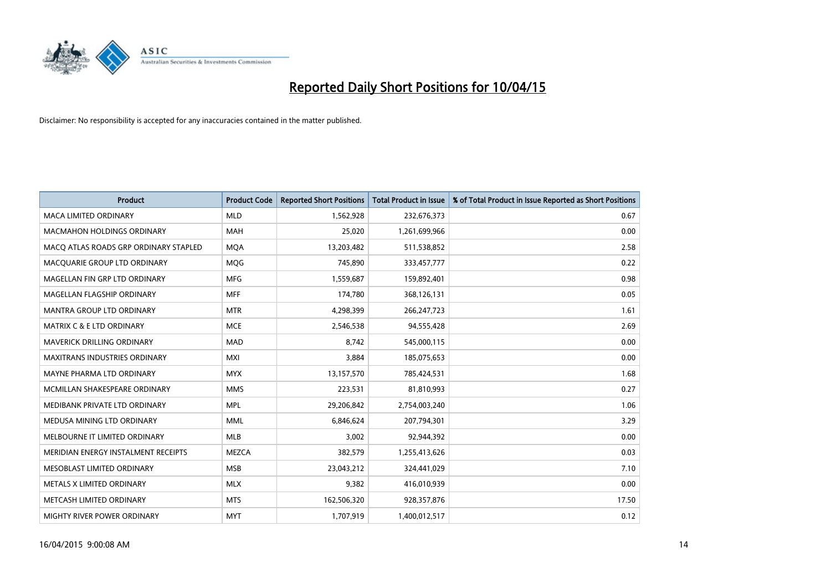

| <b>Product</b>                        | <b>Product Code</b> | <b>Reported Short Positions</b> | <b>Total Product in Issue</b> | % of Total Product in Issue Reported as Short Positions |
|---------------------------------------|---------------------|---------------------------------|-------------------------------|---------------------------------------------------------|
| <b>MACA LIMITED ORDINARY</b>          | <b>MLD</b>          | 1,562,928                       | 232,676,373                   | 0.67                                                    |
| <b>MACMAHON HOLDINGS ORDINARY</b>     | <b>MAH</b>          | 25,020                          | 1,261,699,966                 | 0.00                                                    |
| MACO ATLAS ROADS GRP ORDINARY STAPLED | <b>MOA</b>          | 13,203,482                      | 511,538,852                   | 2.58                                                    |
| MACQUARIE GROUP LTD ORDINARY          | <b>MOG</b>          | 745,890                         | 333,457,777                   | 0.22                                                    |
| MAGELLAN FIN GRP LTD ORDINARY         | <b>MFG</b>          | 1,559,687                       | 159,892,401                   | 0.98                                                    |
| MAGELLAN FLAGSHIP ORDINARY            | <b>MFF</b>          | 174,780                         | 368,126,131                   | 0.05                                                    |
| MANTRA GROUP LTD ORDINARY             | <b>MTR</b>          | 4,298,399                       | 266, 247, 723                 | 1.61                                                    |
| <b>MATRIX C &amp; E LTD ORDINARY</b>  | <b>MCE</b>          | 2,546,538                       | 94,555,428                    | 2.69                                                    |
| MAVERICK DRILLING ORDINARY            | <b>MAD</b>          | 8,742                           | 545,000,115                   | 0.00                                                    |
| <b>MAXITRANS INDUSTRIES ORDINARY</b>  | <b>MXI</b>          | 3,884                           | 185,075,653                   | 0.00                                                    |
| MAYNE PHARMA LTD ORDINARY             | <b>MYX</b>          | 13,157,570                      | 785,424,531                   | 1.68                                                    |
| MCMILLAN SHAKESPEARE ORDINARY         | <b>MMS</b>          | 223,531                         | 81,810,993                    | 0.27                                                    |
| MEDIBANK PRIVATE LTD ORDINARY         | <b>MPL</b>          | 29,206,842                      | 2,754,003,240                 | 1.06                                                    |
| MEDUSA MINING LTD ORDINARY            | <b>MML</b>          | 6,846,624                       | 207,794,301                   | 3.29                                                    |
| MELBOURNE IT LIMITED ORDINARY         | <b>MLB</b>          | 3,002                           | 92,944,392                    | 0.00                                                    |
| MERIDIAN ENERGY INSTALMENT RECEIPTS   | <b>MEZCA</b>        | 382,579                         | 1,255,413,626                 | 0.03                                                    |
| MESOBLAST LIMITED ORDINARY            | <b>MSB</b>          | 23,043,212                      | 324,441,029                   | 7.10                                                    |
| METALS X LIMITED ORDINARY             | <b>MLX</b>          | 9,382                           | 416,010,939                   | 0.00                                                    |
| METCASH LIMITED ORDINARY              | <b>MTS</b>          | 162,506,320                     | 928,357,876                   | 17.50                                                   |
| MIGHTY RIVER POWER ORDINARY           | <b>MYT</b>          | 1,707,919                       | 1,400,012,517                 | 0.12                                                    |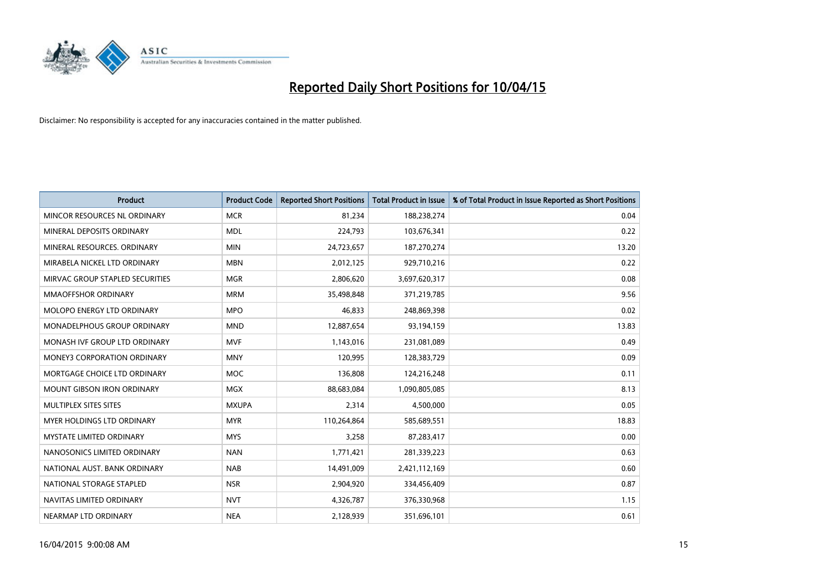

| <b>Product</b>                     | <b>Product Code</b> | <b>Reported Short Positions</b> | <b>Total Product in Issue</b> | % of Total Product in Issue Reported as Short Positions |
|------------------------------------|---------------------|---------------------------------|-------------------------------|---------------------------------------------------------|
| MINCOR RESOURCES NL ORDINARY       | <b>MCR</b>          | 81,234                          | 188,238,274                   | 0.04                                                    |
| MINERAL DEPOSITS ORDINARY          | <b>MDL</b>          | 224,793                         | 103,676,341                   | 0.22                                                    |
| MINERAL RESOURCES, ORDINARY        | <b>MIN</b>          | 24,723,657                      | 187,270,274                   | 13.20                                                   |
| MIRABELA NICKEL LTD ORDINARY       | <b>MBN</b>          | 2,012,125                       | 929,710,216                   | 0.22                                                    |
| MIRVAC GROUP STAPLED SECURITIES    | <b>MGR</b>          | 2,806,620                       | 3,697,620,317                 | 0.08                                                    |
| <b>MMAOFFSHOR ORDINARY</b>         | <b>MRM</b>          | 35,498,848                      | 371,219,785                   | 9.56                                                    |
| MOLOPO ENERGY LTD ORDINARY         | <b>MPO</b>          | 46,833                          | 248,869,398                   | 0.02                                                    |
| MONADELPHOUS GROUP ORDINARY        | <b>MND</b>          | 12,887,654                      | 93,194,159                    | 13.83                                                   |
| MONASH IVF GROUP LTD ORDINARY      | <b>MVF</b>          | 1,143,016                       | 231,081,089                   | 0.49                                                    |
| <b>MONEY3 CORPORATION ORDINARY</b> | <b>MNY</b>          | 120,995                         | 128,383,729                   | 0.09                                                    |
| MORTGAGE CHOICE LTD ORDINARY       | MOC                 | 136,808                         | 124,216,248                   | 0.11                                                    |
| <b>MOUNT GIBSON IRON ORDINARY</b>  | <b>MGX</b>          | 88,683,084                      | 1,090,805,085                 | 8.13                                                    |
| MULTIPLEX SITES SITES              | <b>MXUPA</b>        | 2,314                           | 4,500,000                     | 0.05                                                    |
| MYER HOLDINGS LTD ORDINARY         | <b>MYR</b>          | 110,264,864                     | 585,689,551                   | 18.83                                                   |
| <b>MYSTATE LIMITED ORDINARY</b>    | <b>MYS</b>          | 3,258                           | 87,283,417                    | 0.00                                                    |
| NANOSONICS LIMITED ORDINARY        | <b>NAN</b>          | 1,771,421                       | 281,339,223                   | 0.63                                                    |
| NATIONAL AUST. BANK ORDINARY       | <b>NAB</b>          | 14,491,009                      | 2,421,112,169                 | 0.60                                                    |
| NATIONAL STORAGE STAPLED           | <b>NSR</b>          | 2,904,920                       | 334,456,409                   | 0.87                                                    |
| NAVITAS LIMITED ORDINARY           | <b>NVT</b>          | 4,326,787                       | 376,330,968                   | 1.15                                                    |
| NEARMAP LTD ORDINARY               | <b>NEA</b>          | 2,128,939                       | 351,696,101                   | 0.61                                                    |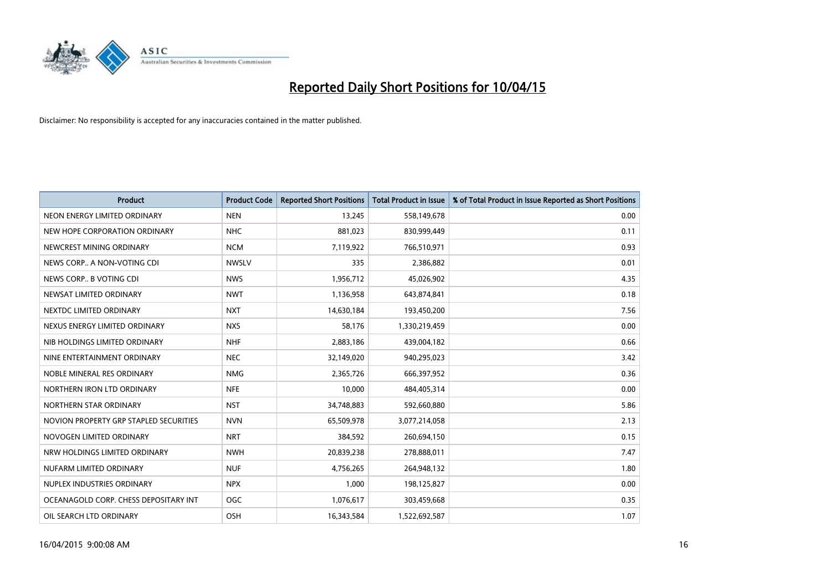

| <b>Product</b>                         | <b>Product Code</b> | <b>Reported Short Positions</b> | <b>Total Product in Issue</b> | % of Total Product in Issue Reported as Short Positions |
|----------------------------------------|---------------------|---------------------------------|-------------------------------|---------------------------------------------------------|
| NEON ENERGY LIMITED ORDINARY           | <b>NEN</b>          | 13,245                          | 558,149,678                   | 0.00                                                    |
| NEW HOPE CORPORATION ORDINARY          | <b>NHC</b>          | 881,023                         | 830,999,449                   | 0.11                                                    |
| NEWCREST MINING ORDINARY               | <b>NCM</b>          | 7,119,922                       | 766,510,971                   | 0.93                                                    |
| NEWS CORP A NON-VOTING CDI             | <b>NWSLV</b>        | 335                             | 2,386,882                     | 0.01                                                    |
| NEWS CORP B VOTING CDI                 | <b>NWS</b>          | 1,956,712                       | 45,026,902                    | 4.35                                                    |
| NEWSAT LIMITED ORDINARY                | <b>NWT</b>          | 1,136,958                       | 643,874,841                   | 0.18                                                    |
| NEXTDC LIMITED ORDINARY                | <b>NXT</b>          | 14,630,184                      | 193,450,200                   | 7.56                                                    |
| NEXUS ENERGY LIMITED ORDINARY          | <b>NXS</b>          | 58,176                          | 1,330,219,459                 | 0.00                                                    |
| NIB HOLDINGS LIMITED ORDINARY          | <b>NHF</b>          | 2,883,186                       | 439,004,182                   | 0.66                                                    |
| NINE ENTERTAINMENT ORDINARY            | <b>NEC</b>          | 32,149,020                      | 940,295,023                   | 3.42                                                    |
| NOBLE MINERAL RES ORDINARY             | <b>NMG</b>          | 2,365,726                       | 666,397,952                   | 0.36                                                    |
| NORTHERN IRON LTD ORDINARY             | <b>NFE</b>          | 10,000                          | 484,405,314                   | 0.00                                                    |
| NORTHERN STAR ORDINARY                 | <b>NST</b>          | 34,748,883                      | 592,660,880                   | 5.86                                                    |
| NOVION PROPERTY GRP STAPLED SECURITIES | <b>NVN</b>          | 65,509,978                      | 3,077,214,058                 | 2.13                                                    |
| NOVOGEN LIMITED ORDINARY               | <b>NRT</b>          | 384,592                         | 260,694,150                   | 0.15                                                    |
| NRW HOLDINGS LIMITED ORDINARY          | <b>NWH</b>          | 20,839,238                      | 278,888,011                   | 7.47                                                    |
| NUFARM LIMITED ORDINARY                | <b>NUF</b>          | 4,756,265                       | 264,948,132                   | 1.80                                                    |
| NUPLEX INDUSTRIES ORDINARY             | <b>NPX</b>          | 1,000                           | 198,125,827                   | 0.00                                                    |
| OCEANAGOLD CORP. CHESS DEPOSITARY INT  | <b>OGC</b>          | 1,076,617                       | 303,459,668                   | 0.35                                                    |
| OIL SEARCH LTD ORDINARY                | OSH                 | 16,343,584                      | 1,522,692,587                 | 1.07                                                    |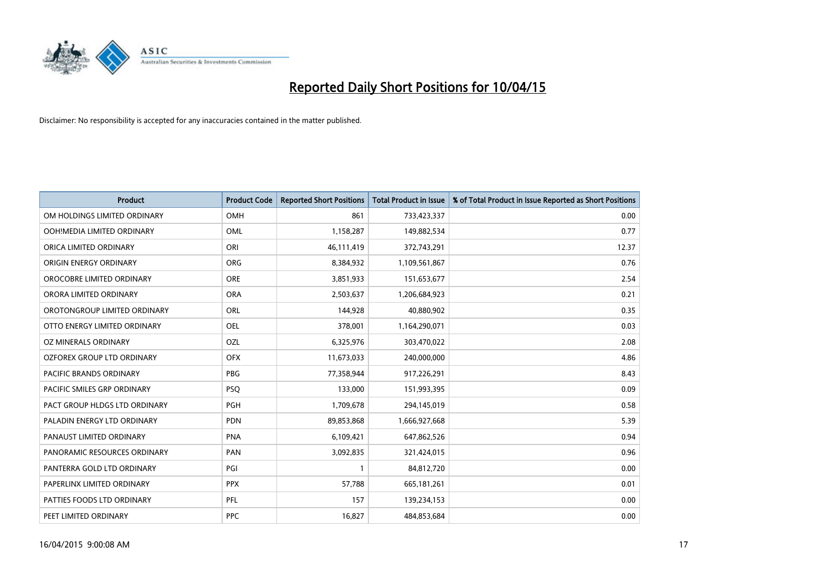

| <b>Product</b>                | <b>Product Code</b> | <b>Reported Short Positions</b> | <b>Total Product in Issue</b> | % of Total Product in Issue Reported as Short Positions |
|-------------------------------|---------------------|---------------------------------|-------------------------------|---------------------------------------------------------|
| OM HOLDINGS LIMITED ORDINARY  | OMH                 | 861                             | 733,423,337                   | 0.00                                                    |
| OOH!MEDIA LIMITED ORDINARY    | OML                 | 1,158,287                       | 149,882,534                   | 0.77                                                    |
| ORICA LIMITED ORDINARY        | ORI                 | 46,111,419                      | 372,743,291                   | 12.37                                                   |
| ORIGIN ENERGY ORDINARY        | <b>ORG</b>          | 8,384,932                       | 1,109,561,867                 | 0.76                                                    |
| OROCOBRE LIMITED ORDINARY     | <b>ORE</b>          | 3,851,933                       | 151,653,677                   | 2.54                                                    |
| ORORA LIMITED ORDINARY        | <b>ORA</b>          | 2,503,637                       | 1,206,684,923                 | 0.21                                                    |
| OROTONGROUP LIMITED ORDINARY  | <b>ORL</b>          | 144,928                         | 40,880,902                    | 0.35                                                    |
| OTTO ENERGY LIMITED ORDINARY  | OEL                 | 378,001                         | 1,164,290,071                 | 0.03                                                    |
| <b>OZ MINERALS ORDINARY</b>   | OZL                 | 6,325,976                       | 303,470,022                   | 2.08                                                    |
| OZFOREX GROUP LTD ORDINARY    | <b>OFX</b>          | 11,673,033                      | 240,000,000                   | 4.86                                                    |
| PACIFIC BRANDS ORDINARY       | <b>PBG</b>          | 77,358,944                      | 917,226,291                   | 8.43                                                    |
| PACIFIC SMILES GRP ORDINARY   | <b>PSQ</b>          | 133,000                         | 151,993,395                   | 0.09                                                    |
| PACT GROUP HLDGS LTD ORDINARY | PGH                 | 1,709,678                       | 294,145,019                   | 0.58                                                    |
| PALADIN ENERGY LTD ORDINARY   | <b>PDN</b>          | 89,853,868                      | 1,666,927,668                 | 5.39                                                    |
| PANAUST LIMITED ORDINARY      | <b>PNA</b>          | 6,109,421                       | 647,862,526                   | 0.94                                                    |
| PANORAMIC RESOURCES ORDINARY  | PAN                 | 3,092,835                       | 321,424,015                   | 0.96                                                    |
| PANTERRA GOLD LTD ORDINARY    | PGI                 | 1                               | 84,812,720                    | 0.00                                                    |
| PAPERLINX LIMITED ORDINARY    | <b>PPX</b>          | 57,788                          | 665, 181, 261                 | 0.01                                                    |
| PATTIES FOODS LTD ORDINARY    | PFL                 | 157                             | 139,234,153                   | 0.00                                                    |
| PEET LIMITED ORDINARY         | <b>PPC</b>          | 16,827                          | 484,853,684                   | 0.00                                                    |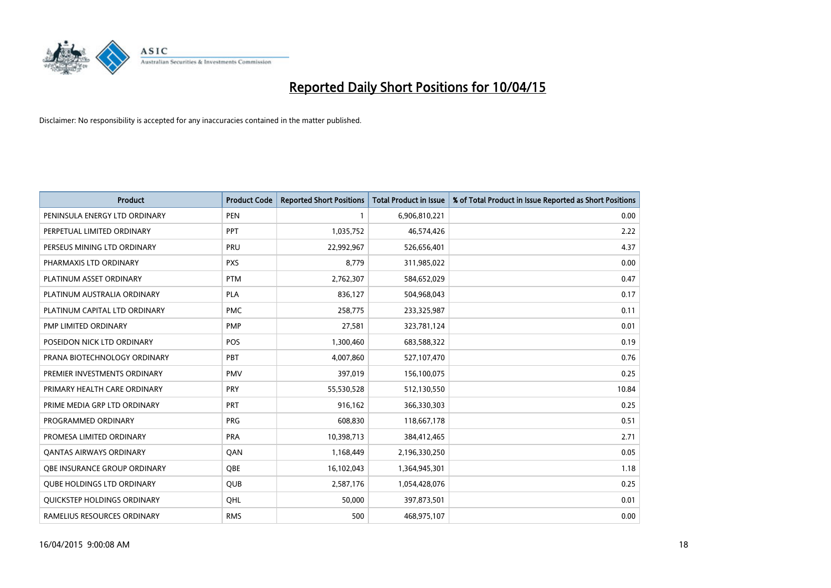

| <b>Product</b>                    | <b>Product Code</b> | <b>Reported Short Positions</b> | <b>Total Product in Issue</b> | % of Total Product in Issue Reported as Short Positions |
|-----------------------------------|---------------------|---------------------------------|-------------------------------|---------------------------------------------------------|
| PENINSULA ENERGY LTD ORDINARY     | <b>PEN</b>          | 1                               | 6,906,810,221                 | 0.00                                                    |
| PERPETUAL LIMITED ORDINARY        | PPT                 | 1,035,752                       | 46,574,426                    | 2.22                                                    |
| PERSEUS MINING LTD ORDINARY       | <b>PRU</b>          | 22,992,967                      | 526,656,401                   | 4.37                                                    |
| PHARMAXIS LTD ORDINARY            | <b>PXS</b>          | 8,779                           | 311,985,022                   | 0.00                                                    |
| PLATINUM ASSET ORDINARY           | <b>PTM</b>          | 2,762,307                       | 584,652,029                   | 0.47                                                    |
| PLATINUM AUSTRALIA ORDINARY       | <b>PLA</b>          | 836,127                         | 504,968,043                   | 0.17                                                    |
| PLATINUM CAPITAL LTD ORDINARY     | <b>PMC</b>          | 258,775                         | 233,325,987                   | 0.11                                                    |
| PMP LIMITED ORDINARY              | <b>PMP</b>          | 27,581                          | 323,781,124                   | 0.01                                                    |
| POSEIDON NICK LTD ORDINARY        | <b>POS</b>          | 1,300,460                       | 683,588,322                   | 0.19                                                    |
| PRANA BIOTECHNOLOGY ORDINARY      | PBT                 | 4,007,860                       | 527,107,470                   | 0.76                                                    |
| PREMIER INVESTMENTS ORDINARY      | <b>PMV</b>          | 397,019                         | 156,100,075                   | 0.25                                                    |
| PRIMARY HEALTH CARE ORDINARY      | <b>PRY</b>          | 55,530,528                      | 512,130,550                   | 10.84                                                   |
| PRIME MEDIA GRP LTD ORDINARY      | <b>PRT</b>          | 916,162                         | 366,330,303                   | 0.25                                                    |
| PROGRAMMED ORDINARY               | <b>PRG</b>          | 608,830                         | 118,667,178                   | 0.51                                                    |
| PROMESA LIMITED ORDINARY          | <b>PRA</b>          | 10,398,713                      | 384,412,465                   | 2.71                                                    |
| <b>QANTAS AIRWAYS ORDINARY</b>    | QAN                 | 1,168,449                       | 2,196,330,250                 | 0.05                                                    |
| OBE INSURANCE GROUP ORDINARY      | QBE                 | 16,102,043                      | 1,364,945,301                 | 1.18                                                    |
| <b>OUBE HOLDINGS LTD ORDINARY</b> | <b>QUB</b>          | 2,587,176                       | 1,054,428,076                 | 0.25                                                    |
| QUICKSTEP HOLDINGS ORDINARY       | OHL                 | 50,000                          | 397,873,501                   | 0.01                                                    |
| RAMELIUS RESOURCES ORDINARY       | <b>RMS</b>          | 500                             | 468,975,107                   | 0.00                                                    |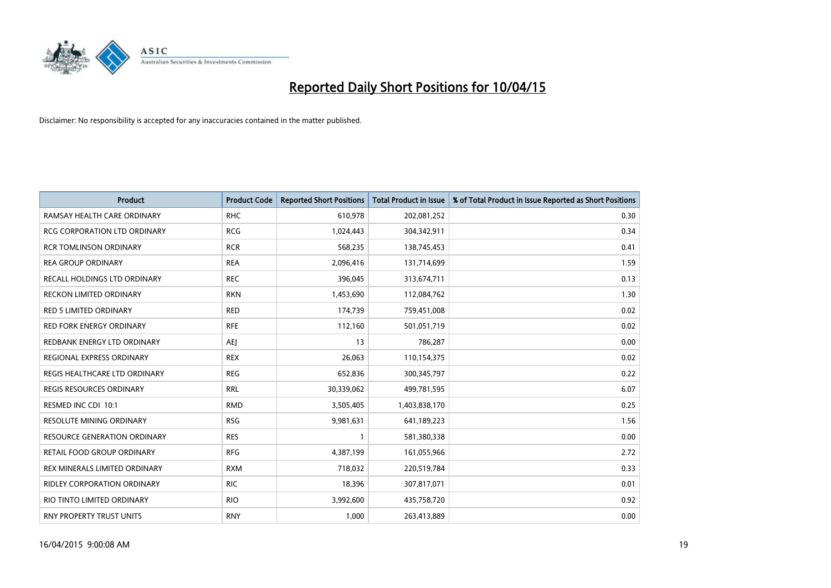

| <b>Product</b>                      | <b>Product Code</b> | <b>Reported Short Positions</b> | <b>Total Product in Issue</b> | % of Total Product in Issue Reported as Short Positions |
|-------------------------------------|---------------------|---------------------------------|-------------------------------|---------------------------------------------------------|
| RAMSAY HEALTH CARE ORDINARY         | <b>RHC</b>          | 610,978                         | 202,081,252                   | 0.30                                                    |
| RCG CORPORATION LTD ORDINARY        | <b>RCG</b>          | 1,024,443                       | 304,342,911                   | 0.34                                                    |
| <b>RCR TOMLINSON ORDINARY</b>       | <b>RCR</b>          | 568,235                         | 138,745,453                   | 0.41                                                    |
| <b>REA GROUP ORDINARY</b>           | <b>REA</b>          | 2,096,416                       | 131,714,699                   | 1.59                                                    |
| RECALL HOLDINGS LTD ORDINARY        | <b>REC</b>          | 396,045                         | 313,674,711                   | 0.13                                                    |
| <b>RECKON LIMITED ORDINARY</b>      | <b>RKN</b>          | 1,453,690                       | 112,084,762                   | 1.30                                                    |
| <b>RED 5 LIMITED ORDINARY</b>       | <b>RED</b>          | 174,739                         | 759,451,008                   | 0.02                                                    |
| RED FORK ENERGY ORDINARY            | <b>RFE</b>          | 112,160                         | 501,051,719                   | 0.02                                                    |
| REDBANK ENERGY LTD ORDINARY         | <b>AEI</b>          | 13                              | 786,287                       | 0.00                                                    |
| <b>REGIONAL EXPRESS ORDINARY</b>    | <b>REX</b>          | 26,063                          | 110,154,375                   | 0.02                                                    |
| REGIS HEALTHCARE LTD ORDINARY       | <b>REG</b>          | 652,836                         | 300, 345, 797                 | 0.22                                                    |
| REGIS RESOURCES ORDINARY            | <b>RRL</b>          | 30,339,062                      | 499,781,595                   | 6.07                                                    |
| RESMED INC CDI 10:1                 | <b>RMD</b>          | 3,505,405                       | 1,403,838,170                 | 0.25                                                    |
| RESOLUTE MINING ORDINARY            | <b>RSG</b>          | 9,981,631                       | 641,189,223                   | 1.56                                                    |
| <b>RESOURCE GENERATION ORDINARY</b> | <b>RES</b>          | $\mathbf{1}$                    | 581,380,338                   | 0.00                                                    |
| RETAIL FOOD GROUP ORDINARY          | <b>RFG</b>          | 4,387,199                       | 161,055,966                   | 2.72                                                    |
| REX MINERALS LIMITED ORDINARY       | <b>RXM</b>          | 718,032                         | 220,519,784                   | 0.33                                                    |
| RIDLEY CORPORATION ORDINARY         | RIC.                | 18,396                          | 307,817,071                   | 0.01                                                    |
| RIO TINTO LIMITED ORDINARY          | <b>RIO</b>          | 3,992,600                       | 435,758,720                   | 0.92                                                    |
| RNY PROPERTY TRUST UNITS            | <b>RNY</b>          | 1,000                           | 263,413,889                   | 0.00                                                    |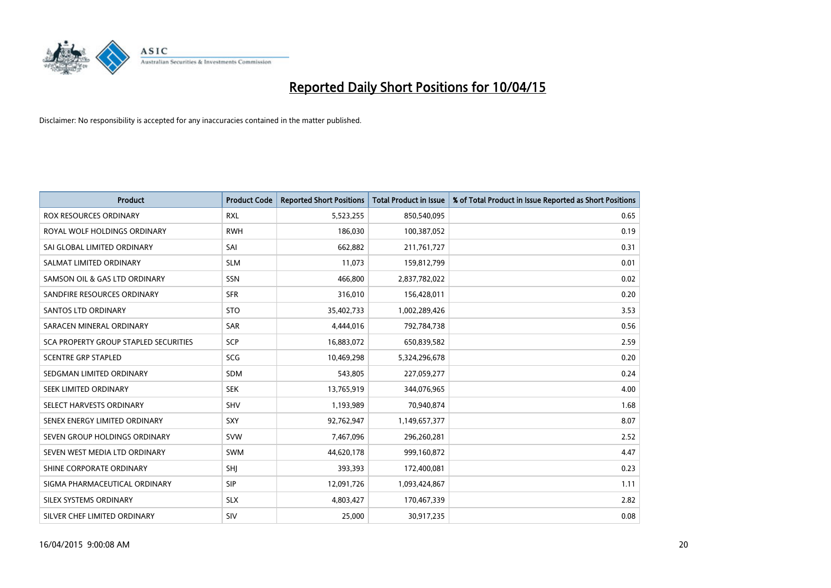

| <b>Product</b>                        | <b>Product Code</b> | <b>Reported Short Positions</b> | <b>Total Product in Issue</b> | % of Total Product in Issue Reported as Short Positions |
|---------------------------------------|---------------------|---------------------------------|-------------------------------|---------------------------------------------------------|
| <b>ROX RESOURCES ORDINARY</b>         | <b>RXL</b>          | 5,523,255                       | 850,540,095                   | 0.65                                                    |
| ROYAL WOLF HOLDINGS ORDINARY          | <b>RWH</b>          | 186,030                         | 100,387,052                   | 0.19                                                    |
| SAI GLOBAL LIMITED ORDINARY           | SAI                 | 662,882                         | 211,761,727                   | 0.31                                                    |
| SALMAT LIMITED ORDINARY               | <b>SLM</b>          | 11,073                          | 159,812,799                   | 0.01                                                    |
| SAMSON OIL & GAS LTD ORDINARY         | SSN                 | 466,800                         | 2,837,782,022                 | 0.02                                                    |
| SANDFIRE RESOURCES ORDINARY           | <b>SFR</b>          | 316,010                         | 156,428,011                   | 0.20                                                    |
| SANTOS LTD ORDINARY                   | <b>STO</b>          | 35,402,733                      | 1,002,289,426                 | 3.53                                                    |
| SARACEN MINERAL ORDINARY              | SAR                 | 4,444,016                       | 792,784,738                   | 0.56                                                    |
| SCA PROPERTY GROUP STAPLED SECURITIES | <b>SCP</b>          | 16,883,072                      | 650,839,582                   | 2.59                                                    |
| <b>SCENTRE GRP STAPLED</b>            | <b>SCG</b>          | 10,469,298                      | 5,324,296,678                 | 0.20                                                    |
| SEDGMAN LIMITED ORDINARY              | SDM                 | 543,805                         | 227,059,277                   | 0.24                                                    |
| <b>SEEK LIMITED ORDINARY</b>          | <b>SEK</b>          | 13,765,919                      | 344,076,965                   | 4.00                                                    |
| SELECT HARVESTS ORDINARY              | SHV                 | 1,193,989                       | 70,940,874                    | 1.68                                                    |
| SENEX ENERGY LIMITED ORDINARY         | SXY                 | 92,762,947                      | 1,149,657,377                 | 8.07                                                    |
| SEVEN GROUP HOLDINGS ORDINARY         | <b>SVW</b>          | 7,467,096                       | 296,260,281                   | 2.52                                                    |
| SEVEN WEST MEDIA LTD ORDINARY         | SWM                 | 44,620,178                      | 999,160,872                   | 4.47                                                    |
| SHINE CORPORATE ORDINARY              | SHJ                 | 393,393                         | 172,400,081                   | 0.23                                                    |
| SIGMA PHARMACEUTICAL ORDINARY         | <b>SIP</b>          | 12,091,726                      | 1,093,424,867                 | 1.11                                                    |
| SILEX SYSTEMS ORDINARY                | <b>SLX</b>          | 4,803,427                       | 170,467,339                   | 2.82                                                    |
| SILVER CHEF LIMITED ORDINARY          | SIV                 | 25,000                          | 30,917,235                    | 0.08                                                    |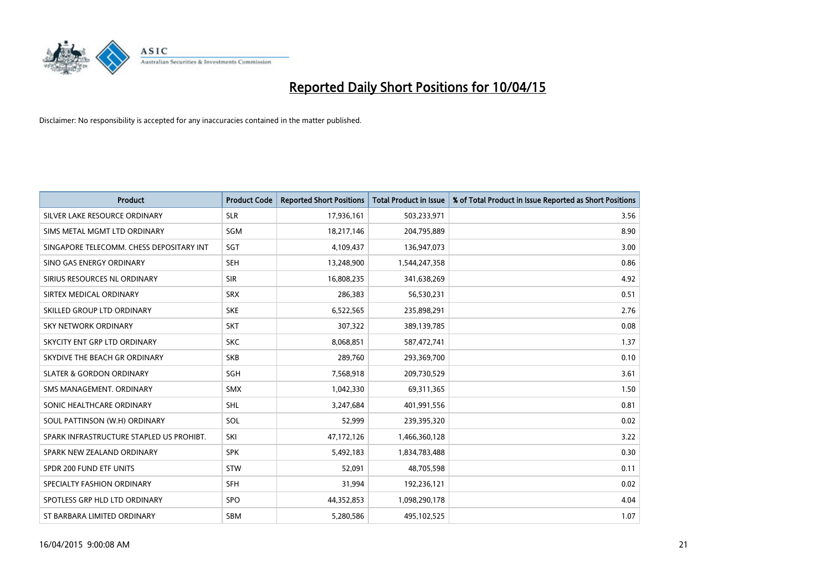

| <b>Product</b>                           | <b>Product Code</b> | <b>Reported Short Positions</b> | <b>Total Product in Issue</b> | % of Total Product in Issue Reported as Short Positions |
|------------------------------------------|---------------------|---------------------------------|-------------------------------|---------------------------------------------------------|
| SILVER LAKE RESOURCE ORDINARY            | <b>SLR</b>          | 17,936,161                      | 503,233,971                   | 3.56                                                    |
| SIMS METAL MGMT LTD ORDINARY             | <b>SGM</b>          | 18,217,146                      | 204,795,889                   | 8.90                                                    |
| SINGAPORE TELECOMM. CHESS DEPOSITARY INT | SGT                 | 4,109,437                       | 136,947,073                   | 3.00                                                    |
| SINO GAS ENERGY ORDINARY                 | <b>SEH</b>          | 13,248,900                      | 1,544,247,358                 | 0.86                                                    |
| SIRIUS RESOURCES NL ORDINARY             | <b>SIR</b>          | 16,808,235                      | 341,638,269                   | 4.92                                                    |
| SIRTEX MEDICAL ORDINARY                  | <b>SRX</b>          | 286,383                         | 56,530,231                    | 0.51                                                    |
| SKILLED GROUP LTD ORDINARY               | <b>SKE</b>          | 6,522,565                       | 235,898,291                   | 2.76                                                    |
| SKY NETWORK ORDINARY                     | <b>SKT</b>          | 307,322                         | 389,139,785                   | 0.08                                                    |
| SKYCITY ENT GRP LTD ORDINARY             | <b>SKC</b>          | 8,068,851                       | 587,472,741                   | 1.37                                                    |
| SKYDIVE THE BEACH GR ORDINARY            | <b>SKB</b>          | 289,760                         | 293,369,700                   | 0.10                                                    |
| <b>SLATER &amp; GORDON ORDINARY</b>      | SGH                 | 7,568,918                       | 209,730,529                   | 3.61                                                    |
| SMS MANAGEMENT, ORDINARY                 | <b>SMX</b>          | 1,042,330                       | 69,311,365                    | 1.50                                                    |
| SONIC HEALTHCARE ORDINARY                | <b>SHL</b>          | 3,247,684                       | 401,991,556                   | 0.81                                                    |
| SOUL PATTINSON (W.H) ORDINARY            | SOL                 | 52,999                          | 239,395,320                   | 0.02                                                    |
| SPARK INFRASTRUCTURE STAPLED US PROHIBT. | SKI                 | 47,172,126                      | 1,466,360,128                 | 3.22                                                    |
| SPARK NEW ZEALAND ORDINARY               | <b>SPK</b>          | 5,492,183                       | 1,834,783,488                 | 0.30                                                    |
| SPDR 200 FUND ETF UNITS                  | <b>STW</b>          | 52,091                          | 48,705,598                    | 0.11                                                    |
| SPECIALTY FASHION ORDINARY               | <b>SFH</b>          | 31,994                          | 192,236,121                   | 0.02                                                    |
| SPOTLESS GRP HLD LTD ORDINARY            | <b>SPO</b>          | 44,352,853                      | 1,098,290,178                 | 4.04                                                    |
| ST BARBARA LIMITED ORDINARY              | <b>SBM</b>          | 5,280,586                       | 495,102,525                   | 1.07                                                    |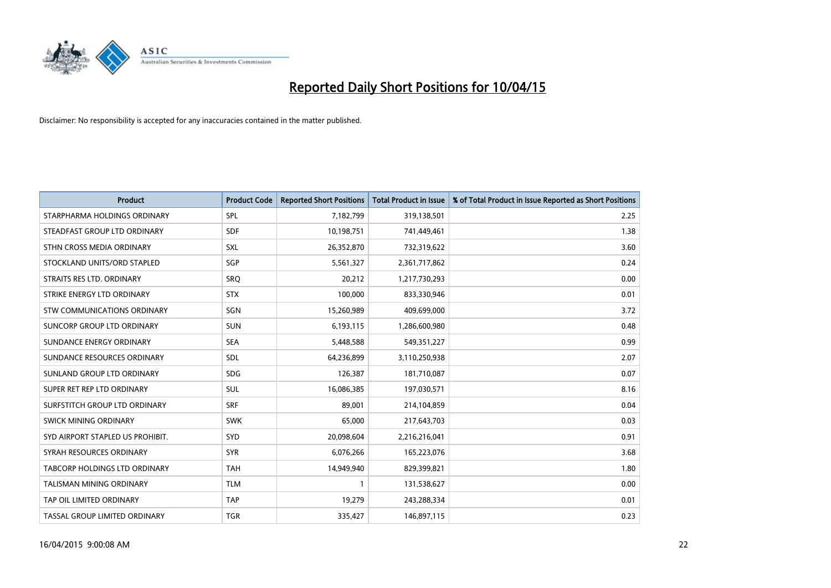

| <b>Product</b>                   | <b>Product Code</b> | <b>Reported Short Positions</b> | <b>Total Product in Issue</b> | % of Total Product in Issue Reported as Short Positions |
|----------------------------------|---------------------|---------------------------------|-------------------------------|---------------------------------------------------------|
| STARPHARMA HOLDINGS ORDINARY     | <b>SPL</b>          | 7,182,799                       | 319,138,501                   | 2.25                                                    |
| STEADFAST GROUP LTD ORDINARY     | <b>SDF</b>          | 10,198,751                      | 741,449,461                   | 1.38                                                    |
| STHN CROSS MEDIA ORDINARY        | <b>SXL</b>          | 26,352,870                      | 732,319,622                   | 3.60                                                    |
| STOCKLAND UNITS/ORD STAPLED      | SGP                 | 5,561,327                       | 2,361,717,862                 | 0.24                                                    |
| STRAITS RES LTD. ORDINARY        | SRO                 | 20,212                          | 1,217,730,293                 | 0.00                                                    |
| STRIKE ENERGY LTD ORDINARY       | <b>STX</b>          | 100,000                         | 833,330,946                   | 0.01                                                    |
| STW COMMUNICATIONS ORDINARY      | SGN                 | 15,260,989                      | 409,699,000                   | 3.72                                                    |
| SUNCORP GROUP LTD ORDINARY       | <b>SUN</b>          | 6,193,115                       | 1,286,600,980                 | 0.48                                                    |
| SUNDANCE ENERGY ORDINARY         | <b>SEA</b>          | 5,448,588                       | 549,351,227                   | 0.99                                                    |
| SUNDANCE RESOURCES ORDINARY      | <b>SDL</b>          | 64,236,899                      | 3,110,250,938                 | 2.07                                                    |
| SUNLAND GROUP LTD ORDINARY       | <b>SDG</b>          | 126,387                         | 181,710,087                   | 0.07                                                    |
| SUPER RET REP LTD ORDINARY       | <b>SUL</b>          | 16,086,385                      | 197,030,571                   | 8.16                                                    |
| SURFSTITCH GROUP LTD ORDINARY    | <b>SRF</b>          | 89,001                          | 214,104,859                   | 0.04                                                    |
| SWICK MINING ORDINARY            | <b>SWK</b>          | 65,000                          | 217,643,703                   | 0.03                                                    |
| SYD AIRPORT STAPLED US PROHIBIT. | SYD                 | 20,098,604                      | 2,216,216,041                 | 0.91                                                    |
| SYRAH RESOURCES ORDINARY         | <b>SYR</b>          | 6,076,266                       | 165,223,076                   | 3.68                                                    |
| TABCORP HOLDINGS LTD ORDINARY    | <b>TAH</b>          | 14,949,940                      | 829,399,821                   | 1.80                                                    |
| TALISMAN MINING ORDINARY         | <b>TLM</b>          | 1                               | 131,538,627                   | 0.00                                                    |
| TAP OIL LIMITED ORDINARY         | <b>TAP</b>          | 19,279                          | 243,288,334                   | 0.01                                                    |
| TASSAL GROUP LIMITED ORDINARY    | <b>TGR</b>          | 335,427                         | 146,897,115                   | 0.23                                                    |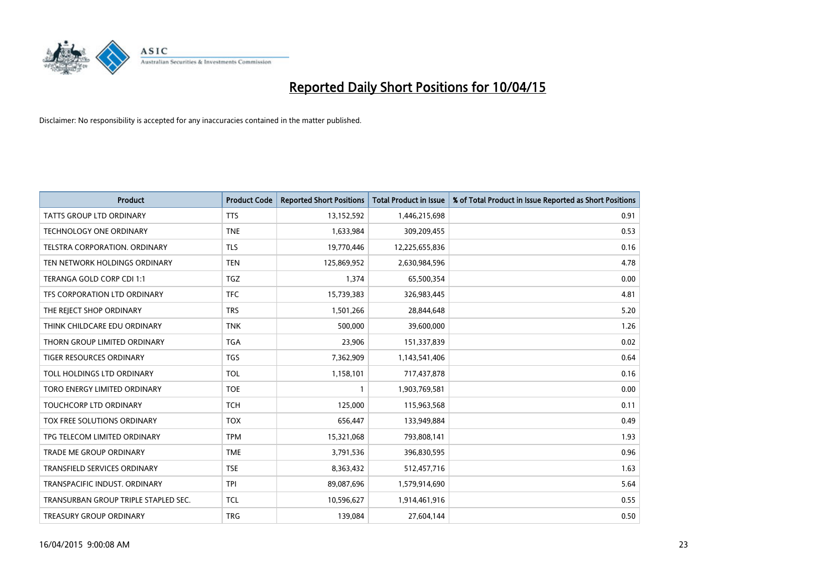

| <b>Product</b>                       | <b>Product Code</b> | <b>Reported Short Positions</b> | <b>Total Product in Issue</b> | % of Total Product in Issue Reported as Short Positions |
|--------------------------------------|---------------------|---------------------------------|-------------------------------|---------------------------------------------------------|
| <b>TATTS GROUP LTD ORDINARY</b>      | <b>TTS</b>          | 13,152,592                      | 1,446,215,698                 | 0.91                                                    |
| TECHNOLOGY ONE ORDINARY              | <b>TNE</b>          | 1,633,984                       | 309,209,455                   | 0.53                                                    |
| <b>TELSTRA CORPORATION, ORDINARY</b> | <b>TLS</b>          | 19,770,446                      | 12,225,655,836                | 0.16                                                    |
| TEN NETWORK HOLDINGS ORDINARY        | <b>TEN</b>          | 125,869,952                     | 2,630,984,596                 | 4.78                                                    |
| TERANGA GOLD CORP CDI 1:1            | <b>TGZ</b>          | 1,374                           | 65,500,354                    | 0.00                                                    |
| TFS CORPORATION LTD ORDINARY         | <b>TFC</b>          | 15,739,383                      | 326,983,445                   | 4.81                                                    |
| THE REJECT SHOP ORDINARY             | <b>TRS</b>          | 1,501,266                       | 28,844,648                    | 5.20                                                    |
| THINK CHILDCARE EDU ORDINARY         | <b>TNK</b>          | 500,000                         | 39,600,000                    | 1.26                                                    |
| THORN GROUP LIMITED ORDINARY         | <b>TGA</b>          | 23,906                          | 151,337,839                   | 0.02                                                    |
| <b>TIGER RESOURCES ORDINARY</b>      | <b>TGS</b>          | 7,362,909                       | 1,143,541,406                 | 0.64                                                    |
| TOLL HOLDINGS LTD ORDINARY           | <b>TOL</b>          | 1,158,101                       | 717,437,878                   | 0.16                                                    |
| TORO ENERGY LIMITED ORDINARY         | <b>TOE</b>          | $\mathbf{1}$                    | 1,903,769,581                 | 0.00                                                    |
| TOUCHCORP LTD ORDINARY               | <b>TCH</b>          | 125,000                         | 115,963,568                   | 0.11                                                    |
| <b>TOX FREE SOLUTIONS ORDINARY</b>   | <b>TOX</b>          | 656,447                         | 133,949,884                   | 0.49                                                    |
| TPG TELECOM LIMITED ORDINARY         | <b>TPM</b>          | 15,321,068                      | 793,808,141                   | 1.93                                                    |
| TRADE ME GROUP ORDINARY              | <b>TME</b>          | 3,791,536                       | 396,830,595                   | 0.96                                                    |
| TRANSFIELD SERVICES ORDINARY         | <b>TSE</b>          | 8,363,432                       | 512,457,716                   | 1.63                                                    |
| TRANSPACIFIC INDUST. ORDINARY        | <b>TPI</b>          | 89,087,696                      | 1,579,914,690                 | 5.64                                                    |
| TRANSURBAN GROUP TRIPLE STAPLED SEC. | <b>TCL</b>          | 10,596,627                      | 1,914,461,916                 | 0.55                                                    |
| TREASURY GROUP ORDINARY              | <b>TRG</b>          | 139,084                         | 27,604,144                    | 0.50                                                    |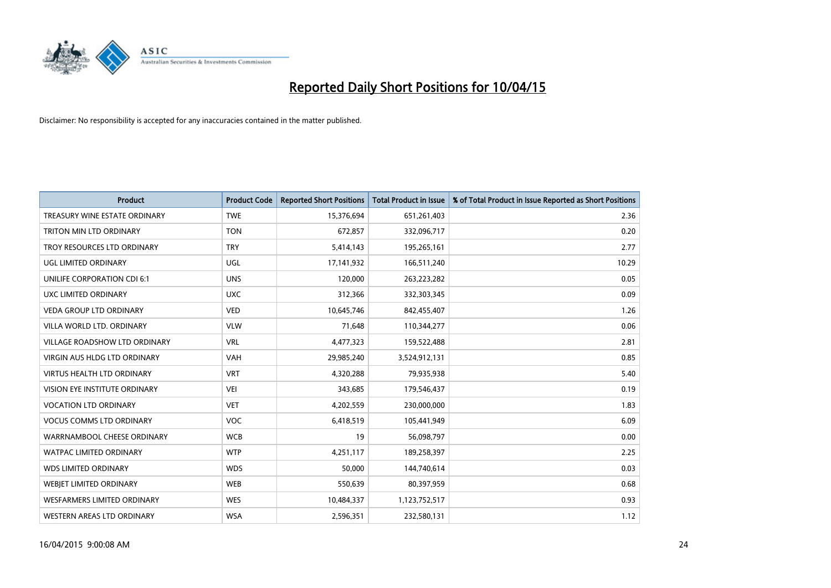

| <b>Product</b>                       | <b>Product Code</b> | <b>Reported Short Positions</b> | <b>Total Product in Issue</b> | % of Total Product in Issue Reported as Short Positions |
|--------------------------------------|---------------------|---------------------------------|-------------------------------|---------------------------------------------------------|
| TREASURY WINE ESTATE ORDINARY        | <b>TWE</b>          | 15,376,694                      | 651,261,403                   | 2.36                                                    |
| TRITON MIN LTD ORDINARY              | <b>TON</b>          | 672,857                         | 332,096,717                   | 0.20                                                    |
| TROY RESOURCES LTD ORDINARY          | <b>TRY</b>          | 5,414,143                       | 195,265,161                   | 2.77                                                    |
| <b>UGL LIMITED ORDINARY</b>          | UGL                 | 17,141,932                      | 166,511,240                   | 10.29                                                   |
| UNILIFE CORPORATION CDI 6:1          | <b>UNS</b>          | 120,000                         | 263,223,282                   | 0.05                                                    |
| UXC LIMITED ORDINARY                 | <b>UXC</b>          | 312,366                         | 332,303,345                   | 0.09                                                    |
| <b>VEDA GROUP LTD ORDINARY</b>       | <b>VED</b>          | 10,645,746                      | 842,455,407                   | 1.26                                                    |
| VILLA WORLD LTD. ORDINARY            | <b>VLW</b>          | 71,648                          | 110,344,277                   | 0.06                                                    |
| <b>VILLAGE ROADSHOW LTD ORDINARY</b> | <b>VRL</b>          | 4,477,323                       | 159,522,488                   | 2.81                                                    |
| <b>VIRGIN AUS HLDG LTD ORDINARY</b>  | <b>VAH</b>          | 29,985,240                      | 3,524,912,131                 | 0.85                                                    |
| <b>VIRTUS HEALTH LTD ORDINARY</b>    | <b>VRT</b>          | 4,320,288                       | 79,935,938                    | 5.40                                                    |
| <b>VISION EYE INSTITUTE ORDINARY</b> | <b>VEI</b>          | 343,685                         | 179,546,437                   | 0.19                                                    |
| <b>VOCATION LTD ORDINARY</b>         | <b>VET</b>          | 4,202,559                       | 230,000,000                   | 1.83                                                    |
| <b>VOCUS COMMS LTD ORDINARY</b>      | <b>VOC</b>          | 6,418,519                       | 105,441,949                   | 6.09                                                    |
| WARRNAMBOOL CHEESE ORDINARY          | <b>WCB</b>          | 19                              | 56,098,797                    | 0.00                                                    |
| <b>WATPAC LIMITED ORDINARY</b>       | <b>WTP</b>          | 4,251,117                       | 189,258,397                   | 2.25                                                    |
| <b>WDS LIMITED ORDINARY</b>          | <b>WDS</b>          | 50,000                          | 144,740,614                   | 0.03                                                    |
| WEBIET LIMITED ORDINARY              | <b>WEB</b>          | 550,639                         | 80,397,959                    | 0.68                                                    |
| <b>WESFARMERS LIMITED ORDINARY</b>   | <b>WES</b>          | 10,484,337                      | 1,123,752,517                 | 0.93                                                    |
| WESTERN AREAS LTD ORDINARY           | <b>WSA</b>          | 2,596,351                       | 232,580,131                   | 1.12                                                    |